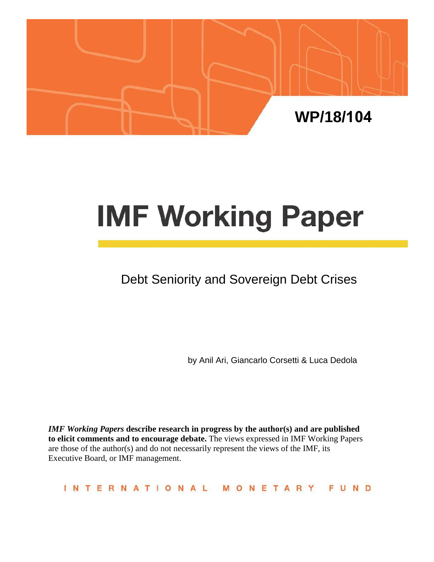

# **IMF Working Paper**

# Debt Seniority and Sovereign Debt Crises

by Anil Ari, Giancarlo Corsetti & Luca Dedola

*IMF Working Papers* **describe research in progress by the author(s) and are published to elicit comments and to encourage debate.** The views expressed in IMF Working Papers are those of the author(s) and do not necessarily represent the views of the IMF, its Executive Board, or IMF management.

INTERNATIONAL FUND MONETAR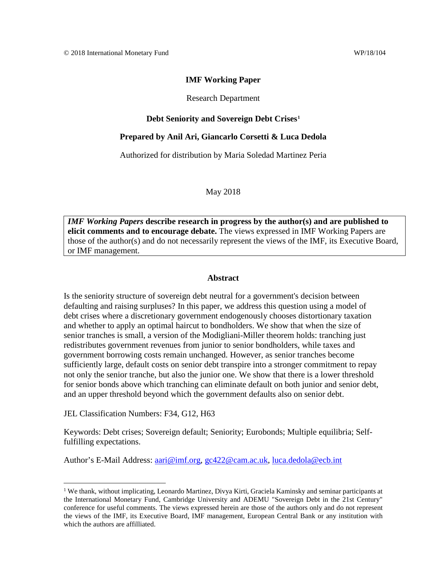#### Research Department

#### **Debt Seniority and Sovereign Debt Crises[1](#page-1-0)**

#### **Prepared by Anil Ari, Giancarlo Corsetti & Luca Dedola**

Authorized for distribution by Maria Soledad Martinez Peria

May 2018

*IMF Working Papers* **describe research in progress by the author(s) and are published to elicit comments and to encourage debate.** The views expressed in IMF Working Papers are those of the author(s) and do not necessarily represent the views of the IMF, its Executive Board, or IMF management.

#### **Abstract**

Is the seniority structure of sovereign debt neutral for a government's decision between defaulting and raising surpluses? In this paper, we address this question using a model of debt crises where a discretionary government endogenously chooses distortionary taxation and whether to apply an optimal haircut to bondholders. We show that when the size of senior tranches is small, a version of the Modigliani-Miller theorem holds: tranching just redistributes government revenues from junior to senior bondholders, while taxes and government borrowing costs remain unchanged. However, as senior tranches become sufficiently large, default costs on senior debt transpire into a stronger commitment to repay not only the senior tranche, but also the junior one. We show that there is a lower threshold for senior bonds above which tranching can eliminate default on both junior and senior debt, and an upper threshold beyond which the government defaults also on senior debt.

JEL Classification Numbers: F34, G12, H63

Keywords: Debt crises; Sovereign default; Seniority; Eurobonds; Multiple equilibria; Selffulfilling expectations.

Author's E-Mail Address: [aari@imf.org,](mailto:aari@imf.org) [gc422@cam.ac.uk,](mailto:gc422@cam.ac.uk) [luca.dedola@ecb.int](mailto:luca.dedola@ecb.int)

<span id="page-1-0"></span><sup>&</sup>lt;sup>1</sup> We thank, without implicating, Leonardo Martinez, Divya Kirti, Graciela Kaminsky and seminar participants at the International Monetary Fund, Cambridge University and ADEMU "Sovereign Debt in the 21st Century" conference for useful comments. The views expressed herein are those of the authors only and do not represent the views of the IMF, its Executive Board, IMF management, European Central Bank or any institution with which the authors are affilliated.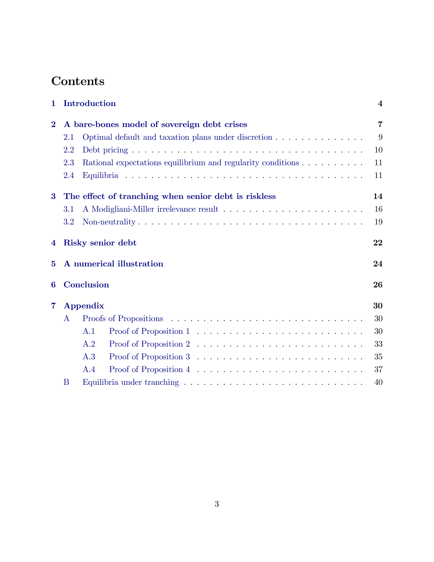## **Contents**

| 1               | Introduction                                         |     |                                                                                    |    |
|-----------------|------------------------------------------------------|-----|------------------------------------------------------------------------------------|----|
| $\overline{2}$  | A bare-bones model of sovereign debt crises          |     |                                                                                    |    |
|                 | 2.1                                                  |     | Optimal default and taxation plans under discretion                                | 9  |
|                 | 2.2                                                  |     |                                                                                    | 10 |
|                 | 2.3                                                  |     | Rational expectations equilibrium and regularity conditions $\ldots \ldots \ldots$ | 11 |
|                 | 2.4                                                  |     |                                                                                    | 11 |
| $\bf{3}$        | The effect of tranching when senior debt is riskless |     |                                                                                    |    |
|                 | 3.1                                                  |     |                                                                                    | 16 |
|                 | 3.2                                                  |     |                                                                                    | 19 |
| $\overline{4}$  | Risky senior debt                                    |     |                                                                                    | 22 |
| $\bf{5}$        | A numerical illustration                             |     |                                                                                    | 24 |
| Conclusion<br>6 |                                                      |     | 26                                                                                 |    |
| $\overline{7}$  | <b>Appendix</b>                                      |     |                                                                                    | 30 |
|                 | A                                                    |     |                                                                                    | 30 |
|                 |                                                      | A.1 |                                                                                    | 30 |
|                 |                                                      | A.2 |                                                                                    | 33 |
|                 |                                                      | A.3 |                                                                                    | 35 |
|                 |                                                      | A.4 |                                                                                    | 37 |
|                 | B                                                    |     |                                                                                    | 40 |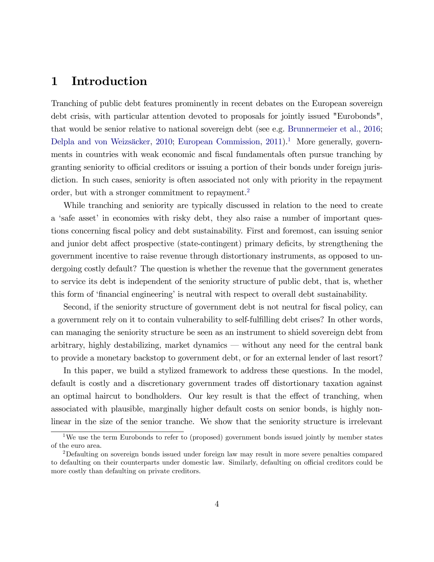## <span id="page-3-0"></span>1 Introduction

Tranching of public debt features prominently in recent debates on the European sovereign debt crisis, with particular attention devoted to proposals for jointly issued "Eurobonds", that would be senior relative to national sovereign debt (see e.g. [Brunnermeier et al.,](#page-27-0) [2016;](#page-27-0) Delpla and von Weizsäcker, [2010;](#page-27-1) [European Commission,](#page-27-2)  $2011$  $2011$  $2011$ <sup>1</sup>. More generally, governments in countries with weak economic and fiscal fundamentals often pursue tranching by granting seniority to official creditors or issuing a portion of their bonds under foreign jurisdiction. In such cases, seniority is often associated not only with priority in the repayment order, but with a stronger commitment to repayment.<sup>[2](#page-3-2)</sup>

While tranching and seniority are typically discussed in relation to the need to create a 'safe asset' in economies with risky debt, they also raise a number of important questions concerning Öscal policy and debt sustainability. First and foremost, can issuing senior and junior debt affect prospective (state-contingent) primary deficits, by strengthening the government incentive to raise revenue through distortionary instruments, as opposed to undergoing costly default? The question is whether the revenue that the government generates to service its debt is independent of the seniority structure of public debt, that is, whether this form of 'financial engineering' is neutral with respect to overall debt sustainability.

Second, if the seniority structure of government debt is not neutral for fiscal policy, can a government rely on it to contain vulnerability to self-fulfilling debt crises? In other words, can managing the seniority structure be seen as an instrument to shield sovereign debt from arbitrary, highly destabilizing, market dynamics  $-$  without any need for the central bank to provide a monetary backstop to government debt, or for an external lender of last resort?

In this paper, we build a stylized framework to address these questions. In the model, default is costly and a discretionary government trades of distortionary taxation against an optimal haircut to bondholders. Our key result is that the effect of tranching, when associated with plausible, marginally higher default costs on senior bonds, is highly nonlinear in the size of the senior tranche. We show that the seniority structure is irrelevant

<span id="page-3-1"></span><sup>&</sup>lt;sup>1</sup>We use the term Eurobonds to refer to (proposed) government bonds issued jointly by member states of the euro area.

<span id="page-3-2"></span><sup>2</sup>Defaulting on sovereign bonds issued under foreign law may result in more severe penalties compared to defaulting on their counterparts under domestic law. Similarly, defaulting on official creditors could be more costly than defaulting on private creditors.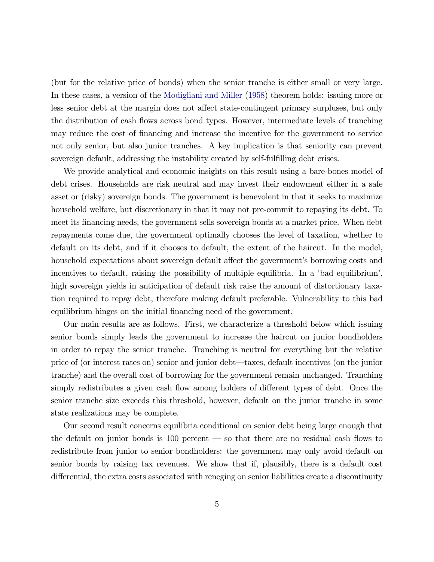(but for the relative price of bonds) when the senior tranche is either small or very large. In these cases, a version of the [Modigliani and Miller](#page-28-0) [\(1958\)](#page-28-0) theorem holds: issuing more or less senior debt at the margin does not affect state-contingent primary surpluses, but only the distribution of cash flows across bond types. However, intermediate levels of tranching may reduce the cost of financing and increase the incentive for the government to service not only senior, but also junior tranches. A key implication is that seniority can prevent sovereign default, addressing the instability created by self-fulfilling debt crises.

We provide analytical and economic insights on this result using a bare-bones model of debt crises. Households are risk neutral and may invest their endowment either in a safe asset or (risky) sovereign bonds. The government is benevolent in that it seeks to maximize household welfare, but discretionary in that it may not pre-commit to repaying its debt. To meet its financing needs, the government sells sovereign bonds at a market price. When debt repayments come due, the government optimally chooses the level of taxation, whether to default on its debt, and if it chooses to default, the extent of the haircut. In the model, household expectations about sovereign default affect the government's borrowing costs and incentives to default, raising the possibility of multiple equilibria. In a 'bad equilibrium'. high sovereign yields in anticipation of default risk raise the amount of distortionary taxation required to repay debt, therefore making default preferable. Vulnerability to this bad equilibrium hinges on the initial financing need of the government.

Our main results are as follows. First, we characterize a threshold below which issuing senior bonds simply leads the government to increase the haircut on junior bondholders in order to repay the senior tranche. Tranching is neutral for everything but the relative price of (or interest rates on) senior and junior debt—taxes, default incentives (on the junior tranche) and the overall cost of borrowing for the government remain unchanged. Tranching simply redistributes a given cash flow among holders of different types of debt. Once the senior tranche size exceeds this threshold, however, default on the junior tranche in some state realizations may be complete.

Our second result concerns equilibria conditional on senior debt being large enough that the default on junior bonds is  $100$  percent  $\sim$  so that there are no residual cash flows to redistribute from junior to senior bondholders: the government may only avoid default on senior bonds by raising tax revenues. We show that if, plausibly, there is a default cost differential, the extra costs associated with reneging on senior liabilities create a discontinuity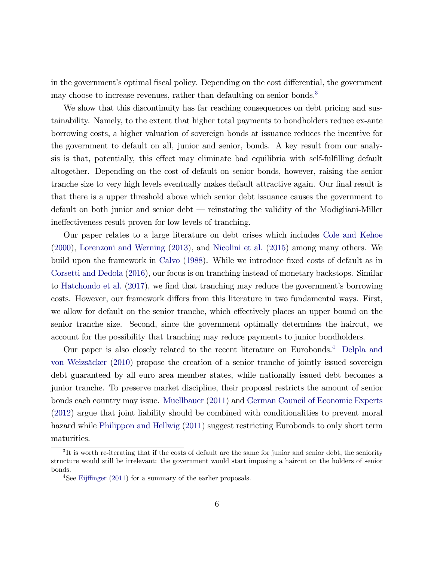in the government's optimal fiscal policy. Depending on the cost differential, the government may choose to increase revenues, rather than defaulting on senior bonds.<sup>[3](#page-5-0)</sup>

We show that this discontinuity has far reaching consequences on debt pricing and sustainability. Namely, to the extent that higher total payments to bondholders reduce ex-ante borrowing costs, a higher valuation of sovereign bonds at issuance reduces the incentive for the government to default on all, junior and senior, bonds. A key result from our analysis is that, potentially, this effect may eliminate bad equilibria with self-fulfilling default altogether. Depending on the cost of default on senior bonds, however, raising the senior tranche size to very high levels eventually makes default attractive again. Our final result is that there is a upper threshold above which senior debt issuance causes the government to default on both junior and senior debt – reinstating the validity of the Modigliani-Miller ineffectiveness result proven for low levels of tranching.

Our paper relates to a large literature on debt crises which includes [Cole and Kehoe](#page-27-3) [\(2000\)](#page-27-3), [Lorenzoni and Werning](#page-28-1) [\(2013\)](#page-28-1), and [Nicolini et al.](#page-28-2) [\(2015\)](#page-28-2) among many others. We build upon the framework in [Calvo](#page-27-4) [\(1988\)](#page-27-4). While we introduce fixed costs of default as in [Corsetti and Dedola](#page-27-5) [\(2016\)](#page-27-5), our focus is on tranching instead of monetary backstops. Similar to [Hatchondo et al.](#page-27-6)  $(2017)$ , we find that tranching may reduce the government's borrowing costs. However, our framework differs from this literature in two fundamental ways. First, we allow for default on the senior tranche, which effectively places an upper bound on the senior tranche size. Second, since the government optimally determines the haircut, we account for the possibility that tranching may reduce payments to junior bondholders.

Our paper is also closely related to the recent literature on Eurobonds.<sup>[4](#page-5-1)</sup> [Delpla and](#page-27-1) von Weizsäcker [\(2010\)](#page-27-1) propose the creation of a senior tranche of jointly issued sovereign debt guaranteed by all euro area member states, while nationally issued debt becomes a junior tranche. To preserve market discipline, their proposal restricts the amount of senior bonds each country may issue. [Muellbauer](#page-28-3) [\(2011\)](#page-28-3) and [German Council of Economic Experts](#page-27-7) [\(2012\)](#page-27-7) argue that joint liability should be combined with conditionalities to prevent moral hazard while [Philippon and Hellwig](#page-28-4) [\(2011\)](#page-28-4) suggest restricting Eurobonds to only short term maturities.

<span id="page-5-0"></span><sup>&</sup>lt;sup>3</sup>It is worth re-iterating that if the costs of default are the same for junior and senior debt, the seniority structure would still be irrelevant: the government would start imposing a haircut on the holders of senior bonds.

<span id="page-5-1"></span><sup>&</sup>lt;sup>4</sup>See Eijffinger [\(2011\)](#page-27-8) for a summary of the earlier proposals.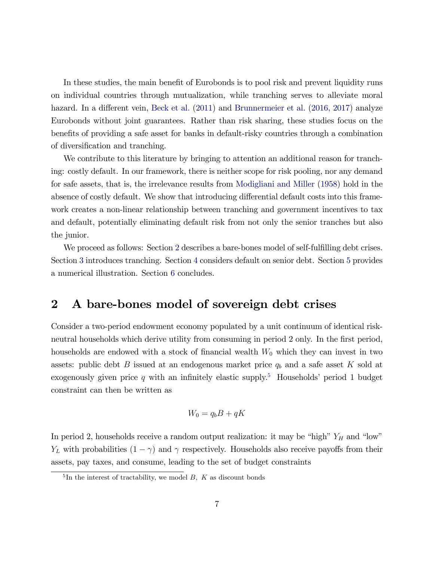In these studies, the main benefit of Eurobonds is to pool risk and prevent liquidity runs on individual countries through mutualization, while tranching serves to alleviate moral hazard. In a different vein, [Beck et al.](#page-27-9) [\(2011\)](#page-27-9) and [Brunnermeier et al.](#page-27-0) [\(2016,](#page-27-0) [2017\)](#page-27-10) analyze Eurobonds without joint guarantees. Rather than risk sharing, these studies focus on the benefits of providing a safe asset for banks in default-risky countries through a combination of diversification and tranching.

We contribute to this literature by bringing to attention an additional reason for tranching: costly default. In our framework, there is neither scope for risk pooling, nor any demand for safe assets, that is, the irrelevance results from [Modigliani and Miller](#page-28-0) [\(1958\)](#page-28-0) hold in the absence of costly default. We show that introducing differential default costs into this framework creates a non-linear relationship between tranching and government incentives to tax and default, potentially eliminating default risk from not only the senior tranches but also the junior.

We proceed as follows: Section [2](#page-6-0) describes a bare-bones model of self-fulfilling debt crises. Section [3](#page-13-0) introduces tranching. Section [4](#page-21-0) considers default on senior debt. Section [5](#page-23-0) provides a numerical illustration. Section [6](#page-25-0) concludes.

## <span id="page-6-0"></span>2 A bare-bones model of sovereign debt crises

Consider a two-period endowment economy populated by a unit continuum of identical riskneutral households which derive utility from consuming in period 2 only. In the first period, households are endowed with a stock of financial wealth  $W_0$  which they can invest in two assets: public debt  $B$  issued at an endogenous market price  $q_b$  and a safe asset  $K$  sold at exogenously given price q with an infinitely elastic supply.<sup>[5](#page-6-1)</sup> Households' period 1 budget constraint can then be written as

$$
W_0 = q_b B + qK
$$

In period 2, households receive a random output realization: it may be "high"  $Y_H$  and "low"  $Y_L$  with probabilities  $(1 - \gamma)$  and  $\gamma$  respectively. Households also receive payoffs from their assets, pay taxes, and consume, leading to the set of budget constraints

<span id="page-6-1"></span> ${}^{5}$ In the interest of tractability, we model B, K as discount bonds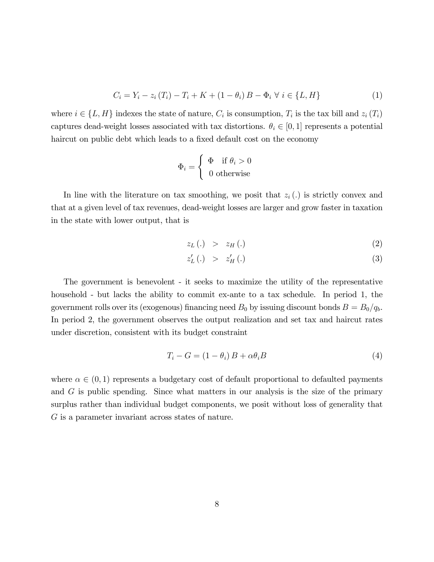$$
C_i = Y_i - z_i (T_i) - T_i + K + (1 - \theta_i) B - \Phi_i \ \forall \ i \in \{L, H\}
$$
 (1)

where  $i \in \{L, H\}$  indexes the state of nature,  $C_i$  is consumption,  $T_i$  is the tax bill and  $z_i(T_i)$ captures dead-weight losses associated with tax distortions.  $\theta_i \in [0, 1]$  represents a potential haircut on public debt which leads to a fixed default cost on the economy

$$
\Phi_i = \left\{ \begin{array}{ll} \Phi & \text{if $\theta_i > 0$} \\ 0 & \text{otherwise} \end{array} \right.
$$

In line with the literature on tax smoothing, we posit that  $z_i(.)$  is strictly convex and that at a given level of tax revenues, dead-weight losses are larger and grow faster in taxation in the state with lower output, that is

<span id="page-7-1"></span>
$$
z_L(.) \quad > \quad z_H(.) \tag{2}
$$

$$
z'_{L}(.) \quad > \quad z'_{H}(.) \tag{3}
$$

The government is benevolent - it seeks to maximize the utility of the representative household - but lacks the ability to commit ex-ante to a tax schedule. In period 1, the government rolls over its (exogenous) financing need  $B_0$  by issuing discount bonds  $B = B_0/q_b$ . In period 2, the government observes the output realization and set tax and haircut rates under discretion, consistent with its budget constraint

<span id="page-7-0"></span>
$$
T_i - G = (1 - \theta_i) B + \alpha \theta_i B \tag{4}
$$

where  $\alpha \in (0,1)$  represents a budgetary cost of default proportional to defaulted payments and G is public spending. Since what matters in our analysis is the size of the primary surplus rather than individual budget components, we posit without loss of generality that G is a parameter invariant across states of nature.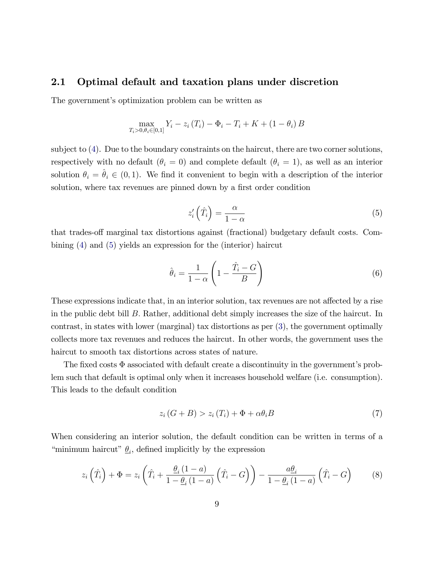#### <span id="page-8-0"></span>2.1 Optimal default and taxation plans under discretion

The government's optimization problem can be written as

$$
\max_{T_i > 0, \theta_i \in [0,1]} Y_i - z_i (T_i) - \Phi_i - T_i + K + (1 - \theta_i) B
$$

subject to [\(4\)](#page-7-0). Due to the boundary constraints on the haircut, there are two corner solutions, respectively with no default  $(\theta_i = 0)$  and complete default  $(\theta_i = 1)$ , as well as an interior solution  $\theta_i = \hat{\theta}_i \in (0, 1)$ . We find it convenient to begin with a description of the interior solution, where tax revenues are pinned down by a first order condition

<span id="page-8-1"></span>
$$
z_i'\left(\hat{T}_i\right) = \frac{\alpha}{1-\alpha} \tag{5}
$$

that trades-off marginal tax distortions against (fractional) budgetary default costs. Combining [\(4\)](#page-7-0) and [\(5\)](#page-8-1) yields an expression for the (interior) haircut

<span id="page-8-3"></span>
$$
\hat{\theta}_i = \frac{1}{1-\alpha} \left( 1 - \frac{\hat{T}_i - G}{B} \right) \tag{6}
$$

These expressions indicate that, in an interior solution, tax revenues are not affected by a rise in the public debt bill  $B$ . Rather, additional debt simply increases the size of the haircut. In contrast, in states with lower (marginal) tax distortions as per [\(3\)](#page-7-1), the government optimally collects more tax revenues and reduces the haircut. In other words, the government uses the haircut to smooth tax distortions across states of nature.

The fixed costs  $\Phi$  associated with default create a discontinuity in the government's problem such that default is optimal only when it increases household welfare (i.e. consumption). This leads to the default condition

<span id="page-8-2"></span>
$$
z_i(G+B) > z_i(T_i) + \Phi + \alpha \theta_i B \tag{7}
$$

When considering an interior solution, the default condition can be written in terms of a "minimum haircut"  $\underline{\theta}_i$ , defined implicitly by the expression

<span id="page-8-4"></span>
$$
z_i\left(\hat{T}_i\right) + \Phi = z_i\left(\hat{T}_i + \frac{\underline{\theta}_i\left(1-a\right)}{1-\underline{\theta}_i\left(1-a\right)}\left(\hat{T}_i - G\right)\right) - \frac{a\underline{\theta}_i}{1-\underline{\theta}_i\left(1-a\right)}\left(\hat{T}_i - G\right) \tag{8}
$$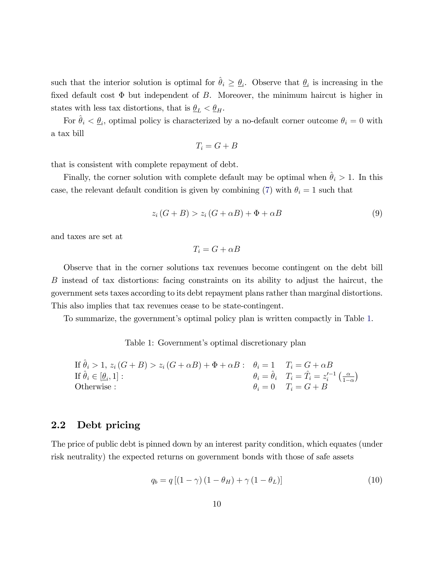such that the interior solution is optimal for  $\hat{\theta}_i \geq \theta_i$ . Observe that  $\theta_i$  is increasing in the fixed default cost  $\Phi$  but independent of B. Moreover, the minimum haircut is higher in states with less tax distortions, that is  $\underline{\theta}_L < \underline{\theta}_H$ .

For  $\hat{\theta}_i < \underline{\theta}_i$ , optimal policy is characterized by a no-default corner outcome  $\theta_i = 0$  with a tax bill

$$
T_i = G + B
$$

that is consistent with complete repayment of debt.

Finally, the corner solution with complete default may be optimal when  $\hat{\theta}_i > 1$ . In this case, the relevant default condition is given by combining [\(7\)](#page-8-2) with  $\theta_i = 1$  such that

$$
z_i(G+B) > z_i(G+\alpha B) + \Phi + \alpha B \tag{9}
$$

and taxes are set at

$$
T_i = G + \alpha B
$$

Observe that in the corner solutions tax revenues become contingent on the debt bill B instead of tax distortions: facing constraints on its ability to adjust the haircut, the government sets taxes according to its debt repayment plans rather than marginal distortions. This also implies that tax revenues cease to be state-contingent.

To summarize, the governmentís optimal policy plan is written compactly in Table [1.](#page-9-1)

<span id="page-9-1"></span>Table 1: Government's optimal discretionary plan

If 
$$
\hat{\theta}_i > 1
$$
,  $z_i(G + B) > z_i(G + \alpha B) + \Phi + \alpha B$ :  $\theta_i = 1$   $T_i = G + \alpha B$   
\nIf  $\hat{\theta}_i \in [\underline{\theta}_i, 1]$ :  
\nOtherwise:  
\n $\theta_i = \hat{\theta}_i$   $T_i = \hat{T}_i = z_i'^{-1}(\frac{\alpha}{1 - \alpha})$   
\nOtherwise:

#### <span id="page-9-0"></span>2.2 Debt pricing

The price of public debt is pinned down by an interest parity condition, which equates (under risk neutrality) the expected returns on government bonds with those of safe assets

<span id="page-9-2"></span>
$$
q_b = q [(1 - \gamma) (1 - \theta_H) + \gamma (1 - \theta_L)] \tag{10}
$$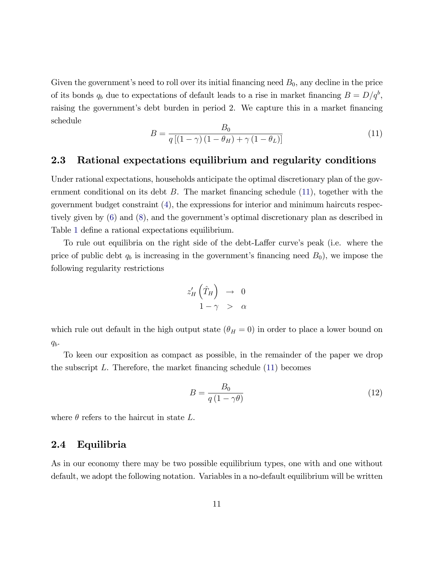Given the government's need to roll over its initial financing need  $B_0$ , any decline in the price of its bonds  $q_b$  due to expectations of default leads to a rise in market financing  $B = D/q^b$ , raising the government's debt burden in period 2. We capture this in a market financing schedule

<span id="page-10-2"></span>
$$
B = \frac{B_0}{q\left[\left(1-\gamma\right)\left(1-\theta_H\right)+\gamma\left(1-\theta_L\right)\right]}
$$
\n(11)

#### <span id="page-10-0"></span>2.3 Rational expectations equilibrium and regularity conditions

Under rational expectations, households anticipate the optimal discretionary plan of the government conditional on its debt  $B$ . The market financing schedule  $(11)$ , together with the government budget constraint [\(4\)](#page-7-0), the expressions for interior and minimum haircuts respectively given by  $(6)$  and  $(8)$ , and the government's optimal discretionary plan as described in Table [1](#page-9-1) define a rational expectations equilibrium.

To rule out equilibria on the right side of the debt-Laffer curve's peak (i.e. where the price of public debt  $q_b$  is increasing in the government's financing need  $B_0$ ), we impose the following regularity restrictions

$$
z_H'(\hat{T}_H) \rightarrow 0
$$
  

$$
1 - \gamma > \alpha
$$

which rule out default in the high output state  $(\theta_H = 0)$  in order to place a lower bound on  $q_b$ .

To keen our exposition as compact as possible, in the remainder of the paper we drop the subscript  $L$ . Therefore, the market financing schedule  $(11)$  becomes

<span id="page-10-3"></span>
$$
B = \frac{B_0}{q(1 - \gamma \theta)}\tag{12}
$$

where  $\theta$  refers to the haircut in state L.

#### <span id="page-10-1"></span>2.4 Equilibria

As in our economy there may be two possible equilibrium types, one with and one without default, we adopt the following notation. Variables in a no-default equilibrium will be written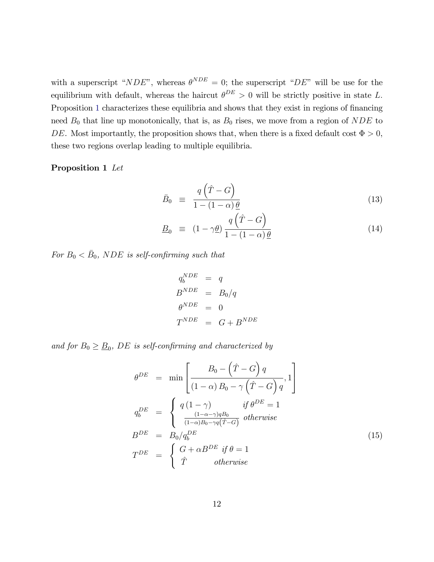with a superscript "NDE", whereas  $\theta^{NDE} = 0$ ; the superscript "DE" will be use for the equilibrium with default, whereas the haircut  $\theta^{DE} > 0$  will be strictly positive in state L. Proposition [1](#page-11-0) characterizes these equilibria and shows that they exist in regions of financing need  $B_0$  that line up monotonically, that is, as  $B_0$  rises, we move from a region of NDE to DE. Most importantly, the proposition shows that, when there is a fixed default cost  $\Phi > 0$ , these two regions overlap leading to multiple equilibria.

#### <span id="page-11-0"></span>Proposition 1 Let

$$
\bar{B}_0 \equiv \frac{q(\hat{T} - G)}{1 - (1 - \alpha)\theta} \tag{13}
$$

<span id="page-11-2"></span>
$$
\underline{B}_0 \equiv (1 - \gamma \underline{\theta}) \frac{q(\hat{T} - G)}{1 - (1 - \alpha) \underline{\theta}} \tag{14}
$$

For  $B_0 < \bar{B}_0$ , NDE is self-confirming such that

$$
q_b^{NDE} = q
$$
  
\n
$$
B^{NDE} = B_0/q
$$
  
\n
$$
\theta^{NDE} = 0
$$
  
\n
$$
T^{NDE} = G + B^{NDE}
$$

and for  $B_0 \geq \underline{B}_0$ , DE is self-confirming and characterized by

<span id="page-11-1"></span>
$$
\theta^{DE} = \min \left[ \frac{B_0 - (\hat{T} - G) q}{(1 - \alpha) B_0 - \gamma (\hat{T} - G) q}, 1 \right]
$$
  
\n
$$
q_b^{DE} = \begin{cases}\nq (1 - \gamma) & \text{if } \theta^{DE} = 1 \\
\frac{(1 - \alpha - \gamma) q B_0}{(1 - \alpha) B_0 - \gamma q (\hat{T} - G)} & \text{otherwise}\n\end{cases}
$$
  
\n
$$
B^{DE} = B_0 / q_b^{DE}
$$
  
\n
$$
T^{DE} = \begin{cases}\nG + \alpha B^{DE} & \text{if } \theta = 1 \\
\hat{T} & \text{otherwise}\n\end{cases}
$$
\n(15)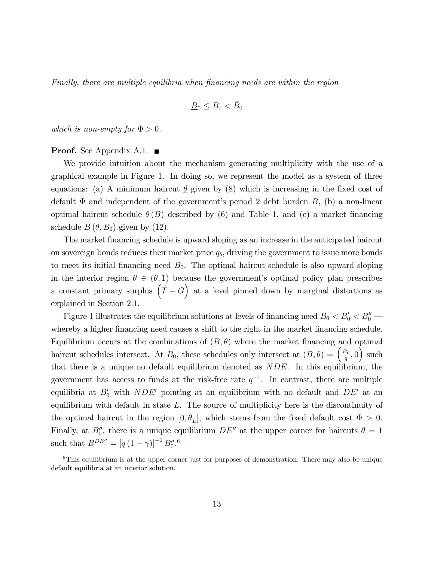Finally, there are multiple equilibria when financing needs are within the region

$$
\underline{B}_0 \le B_0 < \bar{B}_0
$$

which is non-empty for  $\Phi > 0$ .

#### **Proof.** See Appendix [A.1.](#page-29-2)  $\blacksquare$

We provide intuition about the mechanism generating multiplicity with the use of a graphical example in Figure [1.](#page-13-1) In doing so, we represent the model as a system of three equations: (a) A minimum haircut  $\theta$  given by [\(8\)](#page-8-4) which is increasing in the fixed cost of default  $\Phi$  and independent of the government's period 2 debt burden B, (b) a non-linear optimal haircut schedule  $\theta(B)$  described by [\(6\)](#page-8-3) and Table [1,](#page-9-1) and (c) a market financing schedule  $B(\theta, B_0)$  given by [\(12\)](#page-10-3).

The market financing schedule is upward sloping as an increase in the anticipated haircut on sovereign bonds reduces their market price  $q<sub>b</sub>$ , driving the government to issue more bonds to meet its initial financing need  $B_0$ . The optimal haircut schedule is also upward sloping in the interior region  $\theta \in (\theta, 1)$  because the government's optimal policy plan prescribes a constant primary surplus  $(\hat{T} - G)$  at a level pinned down by marginal distortions as explained in Section [2.1.](#page-8-0)

Figure [1](#page-13-1) illustrates the equilibrium solutions at levels of financing need  $B_0 < B'_0 < B''_0$ whereby a higher financing need causes a shift to the right in the market financing schedule. Equilibrium occurs at the combinations of  $(B, \theta)$  where the market financing and optimal haircut schedules intersect. At  $B_0$ , these schedules only intersect at  $(B, \theta) = \left(\frac{B_0}{a}\right)$  $\left(\frac{B_0}{q}, 0\right)$  such that there is a unique no default equilibrium denoted as NDE. In this equilibrium, the government has access to funds at the risk-free rate  $q^{-1}$ . In contrast, there are multiple equilibria at  $B'_0$  with  $NDE'$  pointing at an equilibrium with no default and  $DE'$  at an equilibrium with default in state  $L$ . The source of multiplicity here is the discontinuity of the optimal haircut in the region  $[0, \underline{\theta}_L]$ , which stems from the fixed default cost  $\Phi > 0$ . Finally, at  $B_0''$ , there is a unique equilibrium  $DE''$  at the upper corner for haircuts  $\theta = 1$ such that  $B^{DE''} = [q(1 - \gamma)]^{-1} B_0''$ .<sup>[6](#page-12-0)</sup>

<span id="page-12-0"></span><sup>&</sup>lt;sup>6</sup>This equilibrium is at the upper corner just for purposes of demonstration. There may also be unique default equilibria at an interior solution.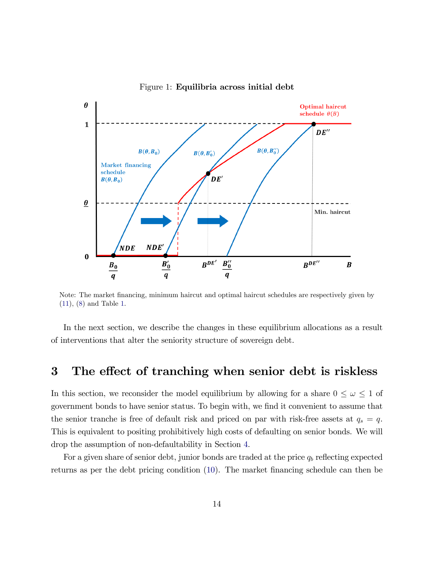

<span id="page-13-1"></span>Figure 1: Equilibria across initial debt

Note: The market financing, minimum haircut and optimal haircut schedules are respectively given by [\(11\)](#page-10-2), [\(8\)](#page-8-4) and Table [1.](#page-9-1)

In the next section, we describe the changes in these equilibrium allocations as a result of interventions that alter the seniority structure of sovereign debt.

## <span id="page-13-0"></span>3 The effect of tranching when senior debt is riskless

In this section, we reconsider the model equilibrium by allowing for a share  $0 \leq \omega \leq 1$  of government bonds to have senior status. To begin with, we find it convenient to assume that the senior tranche is free of default risk and priced on par with risk-free assets at  $q_s = q$ . This is equivalent to positing prohibitively high costs of defaulting on senior bonds. We will drop the assumption of non-defaultability in Section [4.](#page-21-0)

For a given share of senior debt, junior bonds are traded at the price  $q_b$  reflecting expected returns as per the debt pricing condition [\(10\)](#page-9-2). The market financing schedule can then be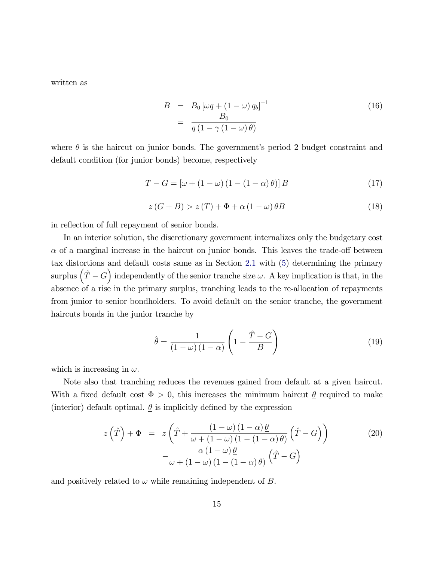written as

<span id="page-14-1"></span>
$$
B = B_0 \left[ \omega q + (1 - \omega) q_b \right]^{-1}
$$
  
= 
$$
\frac{B_0}{q \left( 1 - \gamma \left( 1 - \omega \right) \theta \right)}
$$
 (16)

where  $\theta$  is the haircut on junior bonds. The government's period 2 budget constraint and default condition (for junior bonds) become, respectively

 $T - G = [\omega + (1 - \omega) (1 - (1 - \alpha) \theta)] B$  (17)

<span id="page-14-2"></span>
$$
z(G+B) > z(T) + \Phi + \alpha (1 - \omega) \theta B \tag{18}
$$

in reflection of full repayment of senior bonds.

In an interior solution, the discretionary government internalizes only the budgetary cost  $\alpha$  of a marginal increase in the haircut on junior bonds. This leaves the trade-off between tax distortions and default costs same as in Section [2.1](#page-8-0) with [\(5\)](#page-8-1) determining the primary surplus  $(\hat{T} - G)$  independently of the senior tranche size  $\omega$ . A key implication is that, in the absence of a rise in the primary surplus, tranching leads to the re-allocation of repayments from junior to senior bondholders. To avoid default on the senior tranche, the government haircuts bonds in the junior tranche by

$$
\hat{\theta} = \frac{1}{(1 - \omega)(1 - \alpha)} \left( 1 - \frac{\hat{T} - G}{B} \right)
$$
(19)

which is increasing in  $\omega$ .

Note also that tranching reduces the revenues gained from default at a given haircut. With a fixed default cost  $\Phi > 0$ , this increases the minimum haircut  $\theta$  required to make (interior) default optimal.  $\theta$  is implicitly defined by the expression

<span id="page-14-0"></span>
$$
z\left(\hat{T}\right) + \Phi = z\left(\hat{T} + \frac{(1-\omega)(1-\alpha)\underline{\theta}}{\omega + (1-\omega)(1-(1-\alpha)\underline{\theta})}\left(\hat{T} - G\right)\right) -\frac{\alpha(1-\omega)\underline{\theta}}{\omega + (1-\omega)(1-(1-\alpha)\underline{\theta})}\left(\hat{T} - G\right)
$$
(20)

and positively related to  $\omega$  while remaining independent of  $B$ .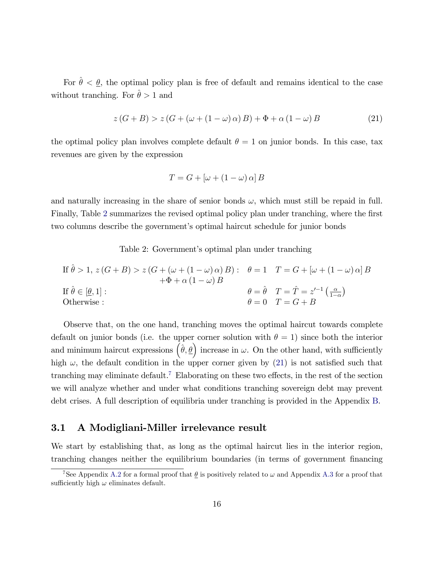For  $\hat{\theta} < \theta$ , the optimal policy plan is free of default and remains identical to the case without tranching. For  $\hat{\theta} > 1$  and

<span id="page-15-2"></span>
$$
z(G+B) > z(G + (\omega + (1 - \omega)\alpha)B) + \Phi + \alpha(1 - \omega)B
$$
\n(21)

the optimal policy plan involves complete default  $\theta = 1$  on junior bonds. In this case, tax revenues are given by the expression

$$
T = G + [\omega + (1 - \omega) \alpha] B
$$

and naturally increasing in the share of senior bonds  $\omega$ , which must still be repaid in full. Finally, Table [2](#page-15-1) summarizes the revised optimal policy plan under tranching, where the first two columns describe the government's optimal haircut schedule for junior bonds

<span id="page-15-1"></span>Table 2: Government's optimal plan under tranching

If 
$$
\hat{\theta} > 1
$$
,  $z(G + B) > z(G + (\omega + (1 - \omega) \alpha) B)$ :  $\theta = 1$   $T = G + [\omega + (1 - \omega) \alpha] B$   
\nIf  $\hat{\theta} \in [\underline{\theta}, 1]$ :  
\n $\theta = \hat{\theta}$   $T = \hat{T} = z'^{-1} (\frac{\alpha}{1 - \alpha})$   
\nOtherwise:  $\theta = 0$   $T = G + B$ 

Observe that, on the one hand, tranching moves the optimal haircut towards complete default on junior bonds (i.e. the upper corner solution with  $\theta = 1$ ) since both the interior and minimum haircut expressions  $(\hat{\theta}, \underline{\theta})$  increase in  $\omega$ . On the other hand, with sufficiently high  $\omega$ , the default condition in the upper corner given by [\(21\)](#page-15-2) is not satisfied such that tranching may eliminate default.<sup>[7](#page-15-3)</sup> Elaborating on these two effects, in the rest of the section we will analyze whether and under what conditions tranching sovereign debt may prevent debt crises. A full description of equilibria under tranching is provided in the Appendix [B.](#page-39-0)

#### <span id="page-15-0"></span>3.1 A Modigliani-Miller irrelevance result

We start by establishing that, as long as the optimal haircut lies in the interior region, tranching changes neither the equilibrium boundaries (in terms of government financing

<span id="page-15-3"></span><sup>&</sup>lt;sup>7</sup>See Appendix [A.2](#page-32-0) for a formal proof that  $\theta$  is positively related to  $\omega$  and Appendix [A.3](#page-34-0) for a proof that sufficiently high  $\omega$  eliminates default.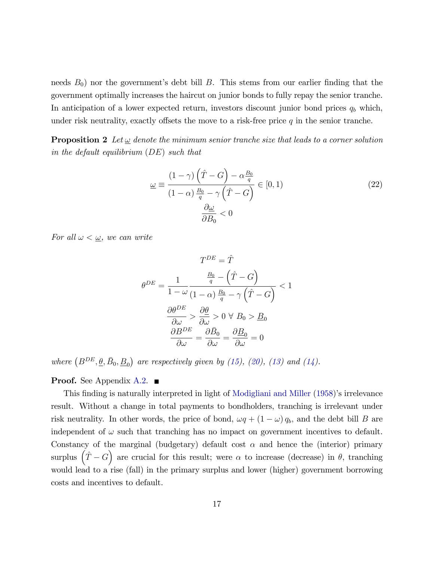needs  $B_0$ ) nor the government's debt bill B. This stems from our earlier finding that the government optimally increases the haircut on junior bonds to fully repay the senior tranche. In anticipation of a lower expected return, investors discount junior bond prices  $q_b$  which, under risk neutrality, exactly offsets the move to a risk-free price  $q$  in the senior tranche.

<span id="page-16-0"></span>**Proposition 2** Let  $\omega$  denote the minimum senior tranche size that leads to a corner solution in the default equilibrium (DE) such that

<span id="page-16-1"></span>
$$
\underline{\omega} \equiv \frac{(1-\gamma)\left(\hat{T} - G\right) - \alpha \frac{B_0}{q}}{(1-\alpha)\frac{B_0}{q} - \gamma\left(\hat{T} - G\right)} \in [0, 1)
$$
\n
$$
\frac{\partial \underline{\omega}}{\partial B_0} < 0
$$
\n(22)

For all  $\omega < \underline{\omega}$ , we can write

$$
T^{DE} = \hat{T}
$$

$$
\theta^{DE} = \frac{1}{1 - \omega} \frac{\frac{B_0}{q} - (\hat{T} - G)}{(1 - \alpha)\frac{B_0}{q} - \gamma(\hat{T} - G)} < 1
$$

$$
\frac{\partial \theta^{DE}}{\partial \omega} > \frac{\partial \theta}{\partial \omega} > 0 \ \forall \ B_0 > \underline{B}_0
$$

$$
\frac{\partial B^{DE}}{\partial \omega} = \frac{\partial \bar{B}_0}{\partial \omega} = \frac{\partial \underline{B}_0}{\partial \omega} = 0
$$

where  $(B^{DE}, \underline{\theta}, \bar{B}_0, \underline{B}_0)$  are respectively given by [\(15\)](#page-11-1), [\(20\)](#page-14-0), [\(13\)](#page-11-2) and [\(14\)](#page-11-2).

#### **Proof.** See Appendix [A.2.](#page-32-0)  $\blacksquare$

This finding is naturally interpreted in light of [Modigliani and Miller](#page-28-0) [\(1958\)](#page-28-0)'s irrelevance result. Without a change in total payments to bondholders, tranching is irrelevant under risk neutrality. In other words, the price of bond,  $\omega q + (1 - \omega) q_b$ , and the debt bill B are independent of  $\omega$  such that tranching has no impact on government incentives to default. Constancy of the marginal (budgetary) default cost  $\alpha$  and hence the (interior) primary surplus  $(\hat{T} - G)$  are crucial for this result; were  $\alpha$  to increase (decrease) in  $\theta$ , tranching would lead to a rise (fall) in the primary surplus and lower (higher) government borrowing costs and incentives to default.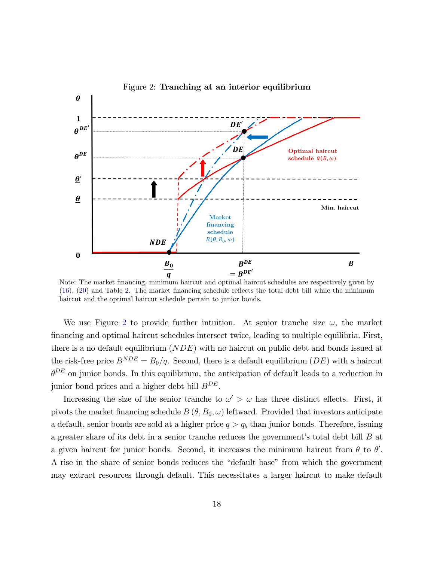

<span id="page-17-0"></span>Figure 2: Tranching at an interior equilibrium

Note: The market financing, minimum haircut and optimal haircut schedules are respectively given by  $(16)$ ,  $(20)$  and Table [2.](#page-15-1) The market financing schedule reflects the total debt bill while the minimum haircut and the optimal haircut schedule pertain to junior bonds.

We use Figure [2](#page-17-0) to provide further intuition. At senior tranche size  $\omega$ , the market Önancing and optimal haircut schedules intersect twice, leading to multiple equilibria. First, there is a no default equilibrium (NDE) with no haircut on public debt and bonds issued at the risk-free price  $B^{NDE} = B_0/q$ . Second, there is a default equilibrium (DE) with a haircut  $\theta^{DE}$  on junior bonds. In this equilibrium, the anticipation of default leads to a reduction in junior bond prices and a higher debt bill  $B^{DE}$ .

Increasing the size of the senior tranche to  $\omega' > \omega$  has three distinct effects. First, it pivots the market financing schedule  $B(\theta, B_0, \omega)$  leftward. Provided that investors anticipate a default, senior bonds are sold at a higher price  $q > q_b$  than junior bonds. Therefore, issuing a greater share of its debt in a senior tranche reduces the government's total debt bill  $B$  at a given haircut for junior bonds. Second, it increases the minimum haircut from  $\underline{\theta}$  to  $\underline{\theta}'$ . A rise in the share of senior bonds reduces the "default base" from which the government may extract resources through default. This necessitates a larger haircut to make default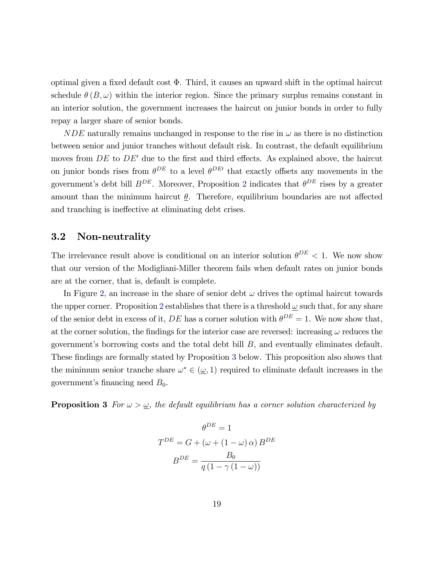optimal given a fixed default cost  $\Phi$ . Third, it causes an upward shift in the optimal haircut schedule  $\theta(B,\omega)$  within the interior region. Since the primary surplus remains constant in an interior solution, the government increases the haircut on junior bonds in order to fully repay a larger share of senior bonds.

 $NDE$  naturally remains unchanged in response to the rise in  $\omega$  as there is no distinction between senior and junior tranches without default risk. In contrast, the default equilibrium moves from  $DE$  to  $DE'$  due to the first and third effects. As explained above, the haircut on junior bonds rises from  $\theta^{DE}$  to a level  $\theta^{DE}$  that exactly offsets any movements in the government's debt bill  $B^{DE}$ . Moreover, Proposition [2](#page-16-0) indicates that  $\theta^{DE}$  rises by a greater amount than the minimum haircut  $\theta$ . Therefore, equilibrium boundaries are not affected and tranching is ineffective at eliminating debt crises.

#### <span id="page-18-0"></span>3.2 Non-neutrality

The irrelevance result above is conditional on an interior solution  $\theta^{DE} < 1$ . We now show that our version of the Modigliani-Miller theorem fails when default rates on junior bonds are at the corner, that is, default is complete.

In Figure [2,](#page-17-0) an increase in the share of senior debt  $\omega$  drives the optimal haircut towards the upper corner. Proposition [2](#page-16-0) establishes that there is a threshold  $\omega$  such that, for any share of the senior debt in excess of it, DE has a corner solution with  $\theta^{DE} = 1$ . We now show that, at the corner solution, the findings for the interior case are reversed: increasing  $\omega$  reduces the government's borrowing costs and the total debt bill  $B$ , and eventually eliminates default. These findings are formally stated by Proposition [3](#page-18-1) below. This proposition also shows that the minimum senior tranche share  $\omega^* \in (\underline{\omega}, 1)$  required to eliminate default increases in the government's financing need  $B_0$ .

<span id="page-18-1"></span>**Proposition 3** For  $\omega > \omega$ , the default equilibrium has a corner solution characterized by

$$
\theta^{DE} = 1
$$

$$
T^{DE} = G + (\omega + (1 - \omega) \alpha) B^{DE}
$$

$$
B^{DE} = \frac{B_0}{q(1 - \gamma(1 - \omega))}
$$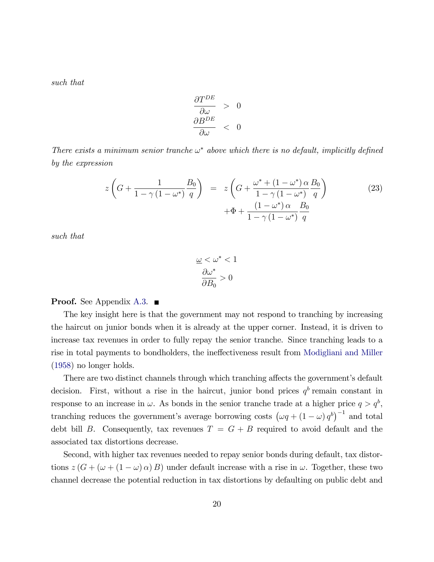such that

$$
\begin{array}{rcl}\n\frac{\partial T^{DE}}{\partial \omega} > 0 \\
\frac{\partial B^{DE}}{\partial \omega} < 0\n\end{array}
$$

There exists a minimum senior tranche  $\omega^*$  above which there is no default, implicitly defined by the expression

<span id="page-19-0"></span>
$$
z\left(G + \frac{1}{1-\gamma(1-\omega^*)}\frac{B_0}{q}\right) = z\left(G + \frac{\omega^* + (1-\omega^*)\alpha}{1-\gamma(1-\omega^*)}\frac{B_0}{q}\right) + \Phi + \frac{(1-\omega^*)\alpha}{1-\gamma(1-\omega^*)}\frac{B_0}{q}
$$
\n
$$
(23)
$$

such that

$$
\frac{\omega}{\omega} < \omega^* < 1
$$
\n
$$
\frac{\partial \omega^*}{\partial B_0} > 0
$$

#### **Proof.** See Appendix [A.3.](#page-34-0)  $\blacksquare$

The key insight here is that the government may not respond to tranching by increasing the haircut on junior bonds when it is already at the upper corner. Instead, it is driven to increase tax revenues in order to fully repay the senior tranche. Since tranching leads to a rise in total payments to bondholders, the ineffectiveness result from [Modigliani and Miller](#page-28-0) [\(1958\)](#page-28-0) no longer holds.

There are two distinct channels through which tranching affects the government's default decision. First, without a rise in the haircut, junior bond prices  $q<sup>b</sup>$  remain constant in response to an increase in  $\omega$ . As bonds in the senior tranche trade at a higher price  $q > q<sup>b</sup>$ , tranching reduces the government's average borrowing costs  $(\omega q + (1 - \omega) q^b)^{-1}$  and total debt bill B. Consequently, tax revenues  $T = G + B$  required to avoid default and the associated tax distortions decrease.

Second, with higher tax revenues needed to repay senior bonds during default, tax distortions  $z(G + (\omega + (1 - \omega) \alpha) B)$  under default increase with a rise in  $\omega$ . Together, these two channel decrease the potential reduction in tax distortions by defaulting on public debt and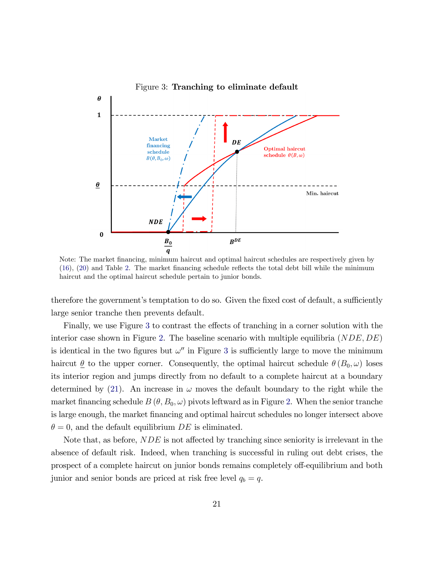

<span id="page-20-0"></span>Figure 3: Tranching to eliminate default

Note: The market financing, minimum haircut and optimal haircut schedules are respectively given by  $(16)$ ,  $(20)$  and Table [2.](#page-15-1) The market financing schedule reflects the total debt bill while the minimum haircut and the optimal haircut schedule pertain to junior bonds.

therefore the government's temptation to do so. Given the fixed cost of default, a sufficiently large senior tranche then prevents default.

Finally, we use Figure [3](#page-20-0) to contrast the effects of tranching in a corner solution with the interior case shown in Figure [2.](#page-17-0) The baseline scenario with multiple equilibria  $(NDE, DE)$ is identical in the two figures but  $\omega''$  in Figure [3](#page-20-0) is sufficiently large to move the minimum haircut  $\underline{\theta}$  to the upper corner. Consequently, the optimal haircut schedule  $\theta(B_0, \omega)$  loses its interior region and jumps directly from no default to a complete haircut at a boundary determined by [\(21\)](#page-15-2). An increase in  $\omega$  moves the default boundary to the right while the market financing schedule  $B(\theta, B_0, \omega)$  pivots leftward as in Figure [2.](#page-17-0) When the senior tranche is large enough, the market financing and optimal haircut schedules no longer intersect above  $\theta = 0$ , and the default equilibrium DE is eliminated.

Note that, as before,  $NDE$  is not affected by tranching since seniority is irrelevant in the absence of default risk. Indeed, when tranching is successful in ruling out debt crises, the prospect of a complete haircut on junior bonds remains completely off-equilibrium and both junior and senior bonds are priced at risk free level  $q_b = q$ .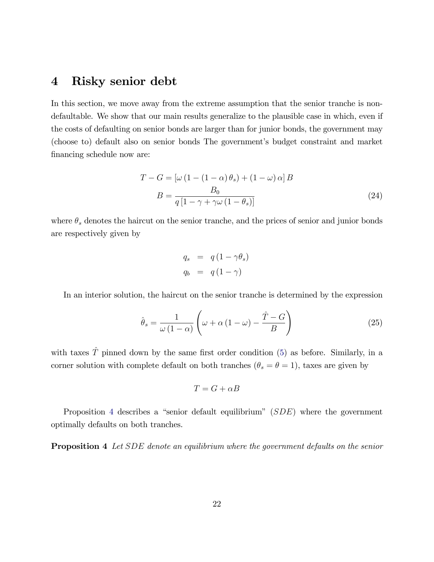## <span id="page-21-0"></span>4 Risky senior debt

In this section, we move away from the extreme assumption that the senior tranche is nondefaultable. We show that our main results generalize to the plausible case in which, even if the costs of defaulting on senior bonds are larger than for junior bonds, the government may (choose to) default also on senior bonds The governmentís budget constraint and market financing schedule now are:

$$
T - G = \left[\omega \left(1 - \left(1 - \alpha\right)\theta_s\right) + \left(1 - \omega\right)\alpha\right]B
$$

$$
B = \frac{B_0}{q\left[1 - \gamma + \gamma\omega\left(1 - \theta_s\right)\right]}
$$
(24)

where  $\theta_s$  denotes the haircut on the senior tranche, and the prices of senior and junior bonds are respectively given by

<span id="page-21-2"></span>
$$
q_s = q(1 - \gamma \theta_s)
$$
  

$$
q_b = q(1 - \gamma)
$$

In an interior solution, the haircut on the senior tranche is determined by the expression

<span id="page-21-3"></span>
$$
\hat{\theta}_s = \frac{1}{\omega (1 - \alpha)} \left( \omega + \alpha (1 - \omega) - \frac{\hat{T} - G}{B} \right)
$$
 (25)

with taxes  $\hat{T}$  pinned down by the same first order condition [\(5\)](#page-8-1) as before. Similarly, in a corner solution with complete default on both tranches  $(\theta_s = \theta = 1)$ , taxes are given by

$$
T = G + \alpha B
$$

Proposition [4](#page-21-1) describes a "senior default equilibrium"  $(SDE)$  where the government optimally defaults on both tranches.

<span id="page-21-1"></span>**Proposition 4** Let SDE denote an equilibrium where the government defaults on the senior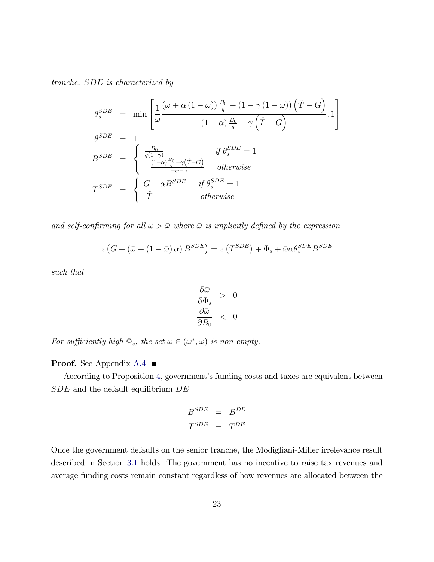tranche. SDE is characterized by

$$
\theta_s^{SDE} = \min \left[ \frac{1}{\omega} \frac{(\omega + \alpha (1 - \omega)) \frac{B_0}{q} - (1 - \gamma (1 - \omega)) (\hat{T} - G)}{(1 - \alpha) \frac{B_0}{q} - \gamma (\hat{T} - G)}, 1 \right]
$$
  
\n
$$
\theta_{s}^{SDE} = 1
$$
  
\n
$$
B_{s}^{SDE} = \begin{cases}\n\frac{B_0}{q(1 - \gamma)} & \text{if } \theta_s^{SDE} = 1 \\
\frac{(1 - \alpha) \frac{B_0}{q} - \gamma (\hat{T} - G)}{1 - \alpha - \gamma} & \text{otherwise} \\
\hat{T} & \text{otherwise}\n\end{cases}
$$
  
\n
$$
T_{s}^{SDE} = \begin{cases}\nG + \alpha B_{s}^{SDE} & \text{if } \theta_s^{SDE} = 1 \\
\hat{T} & \text{otherwise}\n\end{cases}
$$

and self-confirming for all  $\omega > \bar{\omega}$  where  $\bar{\omega}$  is implicitly defined by the expression

$$
z\left(G + (\bar{\omega} + (1 - \bar{\omega})\alpha) B^{SDE}\right) = z\left(T^{SDE}\right) + \Phi_s + \bar{\omega}\alpha\theta_s^{SDE} B^{SDE}
$$

such that

$$
\begin{array}{rcl}\n\frac{\partial \bar{\omega}}{\partial \Phi_s} > & 0 \\
\frac{\partial \bar{\omega}}{\partial B_0} < & 0\n\end{array}
$$

For sufficiently high  $\Phi_s$ , the set  $\omega \in (\omega^*, \bar{\omega})$  is non-empty.

**Proof.** See Appendix [A.4](#page-36-0) ■

According to Proposition [4,](#page-21-1) government's funding costs and taxes are equivalent between  $SDE$  and the default equilibrium  $DE$ 

$$
\begin{array}{ccc} B^{SDE} & = & B^{DE} \\ T^{SDE} & = & T^{DE} \end{array}
$$

Once the government defaults on the senior tranche, the Modigliani-Miller irrelevance result described in Section [3.1](#page-15-0) holds. The government has no incentive to raise tax revenues and average funding costs remain constant regardless of how revenues are allocated between the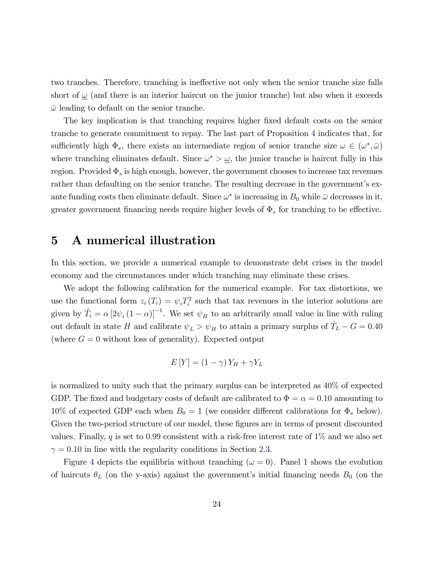two tranches. Therefore, tranching is ineffective not only when the senior tranche size falls short of  $\omega$  (and there is an interior haircut on the junior tranche) but also when it exceeds  $\bar{\omega}$  leading to default on the senior tranche.

The key implication is that tranching requires higher fixed default costs on the senior tranche to generate commitment to repay. The last part of Proposition [4](#page-21-1) indicates that, for sufficiently high  $\Phi_s$ , there exists an intermediate region of senior tranche size  $\omega \in (\omega^*, \bar{\omega})$ where tranching eliminates default. Since  $\omega^* > \underline{\omega}$ , the junior tranche is haircut fully in this region. Provided  $\Phi_s$  is high enough, however, the government chooses to increase tax revenues rather than defaulting on the senior tranche. The resulting decrease in the government's exante funding costs then eliminate default. Since  $\omega^*$  is increasing in  $B_0$  while  $\bar{\omega}$  decreases in it, greater government financing needs require higher levels of  $\Phi_s$  for tranching to be effective.

## <span id="page-23-0"></span>5 A numerical illustration

In this section, we provide a numerical example to demonstrate debt crises in the model economy and the circumstances under which tranching may eliminate these crises.

We adopt the following calibration for the numerical example. For tax distortions, we use the functional form  $z_i(T_i) = \psi_i T_i^2$  such that tax revenues in the interior solutions are given by  $\hat{T}_i = \alpha \left[2\psi_i (1-\alpha)\right]^{-1}$ . We set  $\psi_H$  to an arbitrarily small value in line with ruling out default in state H and calibrate  $\psi_L > \psi_H$  to attain a primary surplus of  $\hat{T}_L - G = 0.40$ (where  $G = 0$  without loss of generality). Expected output

$$
E[Y] = (1 - \gamma)Y_H + \gamma Y_L
$$

is normalized to unity such that the primary surplus can be interpreted as 40% of expected GDP. The fixed and budgetary costs of default are calibrated to  $\Phi = \alpha = 0.10$  amounting to 10% of expected GDP each when  $B_0 = 1$  (we consider different calibrations for  $\Phi_s$  below). Given the two-period structure of our model, these figures are in terms of present discounted values. Finally, q is set to 0.99 consistent with a risk-free interest rate of  $1\%$  and we also set  $\gamma = 0.10$  in line with the regularity conditions in Section [2.3.](#page-10-0)

Figure [4](#page-24-0) depicts the equilibria without tranching  $(\omega = 0)$ . Panel 1 shows the evolution of haircuts  $\theta_L$  (on the y-axis) against the government's initial financing needs  $B_0$  (on the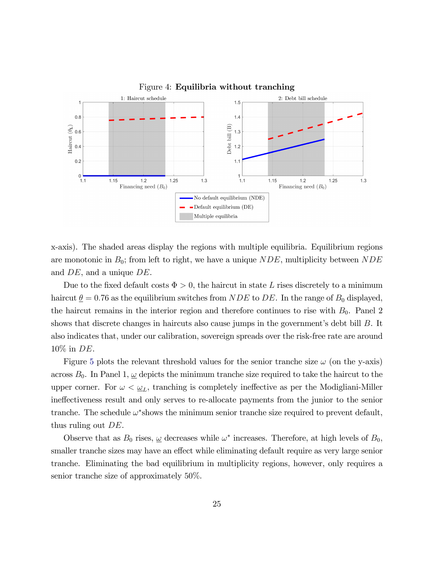<span id="page-24-0"></span>

x-axis). The shaded areas display the regions with multiple equilibria. Equilibrium regions are monotonic in  $B_0$ ; from left to right, we have a unique  $NDE$ , multiplicity between  $NDE$ and DE, and a unique DE.

Due to the fixed default costs  $\Phi > 0$ , the haircut in state L rises discretely to a minimum haircut  $\theta = 0.76$  as the equilibrium switches from NDE to DE. In the range of  $B_0$  displayed, the haircut remains in the interior region and therefore continues to rise with  $B_0$ . Panel 2 shows that discrete changes in haircuts also cause jumps in the government's debt bill  $B$ . It also indicates that, under our calibration, sovereign spreads over the risk-free rate are around 10% in DE.

Figure [5](#page-25-1) plots the relevant threshold values for the senior tranche size  $\omega$  (on the y-axis) across  $B_0$ . In Panel 1,  $\omega$  depicts the minimum tranche size required to take the haircut to the upper corner. For  $\omega < \underline{\omega}_L$ , tranching is completely ineffective as per the Modigliani-Miller ines result and only serves to re-allocate payments from the junior to the senior tranche. The schedule  $\omega^*$ shows the minimum senior tranche size required to prevent default, thus ruling out DE.

Observe that as  $B_0$  rises,  $\underline{\omega}$  decreases while  $\omega^*$  increases. Therefore, at high levels of  $B_0$ , smaller tranche sizes may have an effect while eliminating default require as very large senior tranche. Eliminating the bad equilibrium in multiplicity regions, however, only requires a senior tranche size of approximately 50%.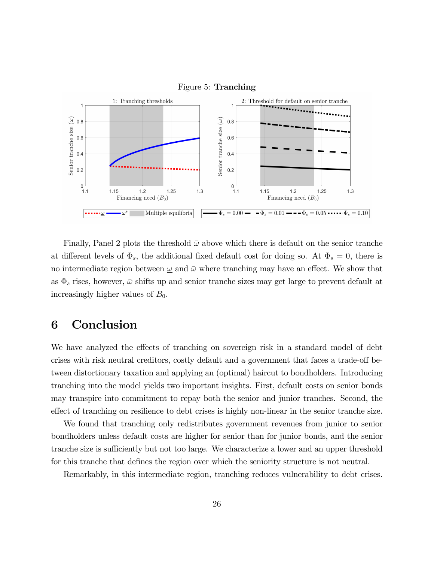<span id="page-25-1"></span>



Finally, Panel 2 plots the threshold  $\bar{\omega}$  above which there is default on the senior tranche at different levels of  $\Phi_s$ , the additional fixed default cost for doing so. At  $\Phi_s = 0$ , there is no intermediate region between  $\omega$  and  $\bar{\omega}$  where tranching may have an effect. We show that as  $\Phi_s$  rises, however,  $\bar{\omega}$  shifts up and senior tranche sizes may get large to prevent default at increasingly higher values of  $B_0$ .

## <span id="page-25-0"></span>6 Conclusion

We have analyzed the effects of tranching on sovereign risk in a standard model of debt crises with risk neutral creditors, costly default and a government that faces a trade-off between distortionary taxation and applying an (optimal) haircut to bondholders. Introducing tranching into the model yields two important insights. First, default costs on senior bonds may transpire into commitment to repay both the senior and junior tranches. Second, the effect of tranching on resilience to debt crises is highly non-linear in the senior tranche size.

We found that tranching only redistributes government revenues from junior to senior bondholders unless default costs are higher for senior than for junior bonds, and the senior tranche size is sufficiently but not too large. We characterize a lower and an upper threshold for this tranche that defines the region over which the seniority structure is not neutral.

Remarkably, in this intermediate region, tranching reduces vulnerability to debt crises.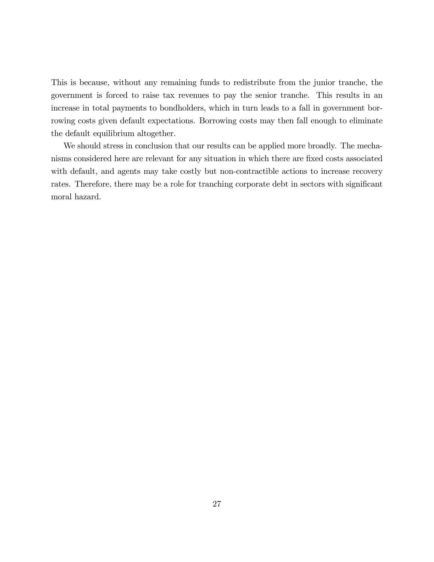This is because, without any remaining funds to redistribute from the junior tranche, the government is forced to raise tax revenues to pay the senior tranche. This results in an increase in total payments to bondholders, which in turn leads to a fall in government borrowing costs given default expectations. Borrowing costs may then fall enough to eliminate the default equilibrium altogether.

We should stress in conclusion that our results can be applied more broadly. The mechanisms considered here are relevant for any situation in which there are Öxed costs associated with default, and agents may take costly but non-contractible actions to increase recovery rates. Therefore, there may be a role for tranching corporate debt in sectors with significant moral hazard.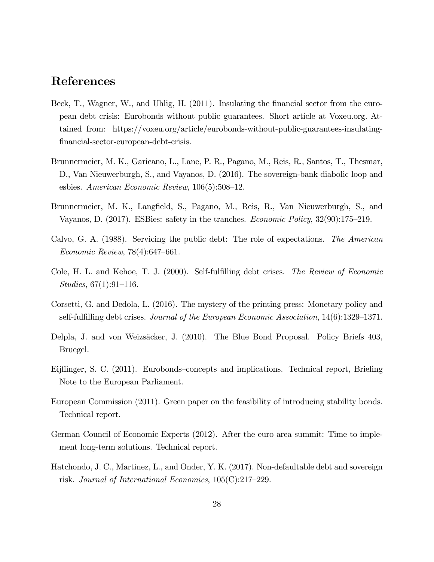## References

- <span id="page-27-9"></span>Beck, T., Wagner, W., and Uhlig, H. (2011). Insulating the financial sector from the european debt crisis: Eurobonds without public guarantees. Short article at Voxeu.org. Attained from: https://voxeu.org/article/eurobonds-without-public-guarantees-insulating-Önancial-sector-european-debt-crisis.
- <span id="page-27-0"></span>Brunnermeier, M. K., Garicano, L., Lane, P. R., Pagano, M., Reis, R., Santos, T., Thesmar, D., Van Nieuwerburgh, S., and Vayanos, D. (2016). The sovereign-bank diabolic loop and esbies. American Economic Review,  $106(5):508-12$ .
- <span id="page-27-10"></span>Brunnermeier, M. K., Langfield, S., Pagano, M., Reis, R., Van Nieuwerburgh, S., and Vayanos, D.  $(2017)$ . ESBies: safety in the tranches. *Economic Policy*,  $32(90)$ :175–219.
- <span id="page-27-4"></span>Calvo, G. A. (1988). Servicing the public debt: The role of expectations. The American  $Economic$  Review,  $78(4):647–661$ .
- <span id="page-27-3"></span>Cole, H. L. and Kehoe, T. J. (2000). Self-fulfilling debt crises. *The Review of Economic*  $Studies, 67(1):91–116.$
- <span id="page-27-5"></span>Corsetti, G. and Dedola, L. (2016). The mystery of the printing press: Monetary policy and self-fulfilling debt crises. Journal of the European Economic Association,  $14(6)$ :1329–1371.
- <span id="page-27-1"></span>Delpla, J. and von Weizs‰cker, J. (2010). The Blue Bond Proposal. Policy Briefs 403, Bruegel.
- <span id="page-27-8"></span>Eijffinger, S. C. (2011). Eurobonds–concepts and implications. Technical report, Briefing Note to the European Parliament.
- <span id="page-27-2"></span>European Commission (2011). Green paper on the feasibility of introducing stability bonds. Technical report.
- <span id="page-27-7"></span>German Council of Economic Experts (2012). After the euro area summit: Time to implement long-term solutions. Technical report.
- <span id="page-27-6"></span>Hatchondo, J. C., Martinez, L., and Onder, Y. K. (2017). Non-defaultable debt and sovereign risk. Journal of International Economics,  $105(C):217-229$ .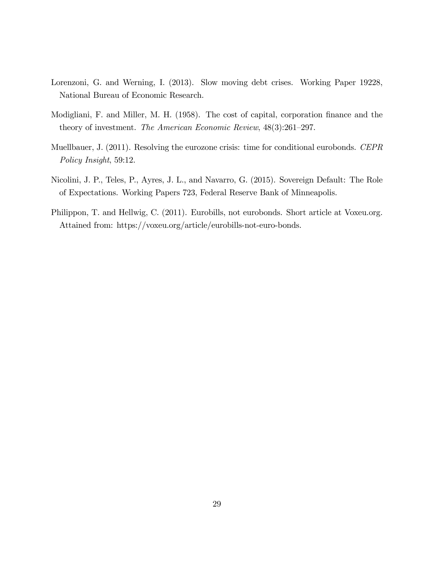- <span id="page-28-1"></span>Lorenzoni, G. and Werning, I. (2013). Slow moving debt crises. Working Paper 19228, National Bureau of Economic Research.
- <span id="page-28-0"></span>Modigliani, F. and Miller, M. H. (1958). The cost of capital, corporation finance and the theory of investment. The American Economic Review,  $48(3):261-297$ .
- <span id="page-28-3"></span>Muellbauer, J. (2011). Resolving the eurozone crisis: time for conditional eurobonds. CEPR Policy Insight, 59:12.
- <span id="page-28-2"></span>Nicolini, J. P., Teles, P., Ayres, J. L., and Navarro, G. (2015). Sovereign Default: The Role of Expectations. Working Papers 723, Federal Reserve Bank of Minneapolis.
- <span id="page-28-4"></span>Philippon, T. and Hellwig, C. (2011). Eurobills, not eurobonds. Short article at Voxeu.org. Attained from: https://voxeu.org/article/eurobills-not-euro-bonds.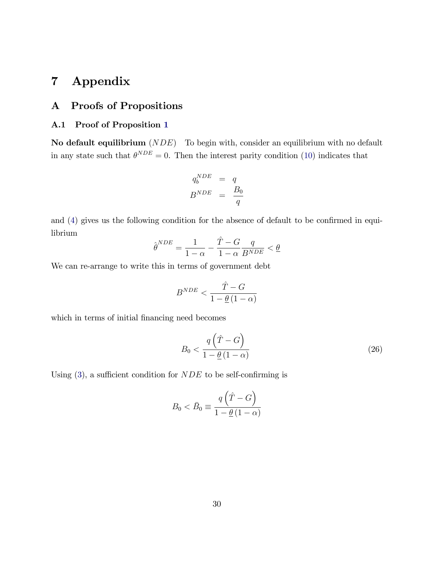## <span id="page-29-0"></span>7 Appendix

#### <span id="page-29-1"></span>A Proofs of Propositions

#### <span id="page-29-2"></span>A.1 Proof of Proposition [1](#page-11-0)

No default equilibrium  $(NDE)$  To begin with, consider an equilibrium with no default in any state such that  $\theta^{NDE} = 0$ . Then the interest parity condition [\(10\)](#page-9-2) indicates that

$$
q_b^{NDE} = q
$$
  

$$
B^{NDE} = \frac{B_0}{q}
$$

and  $(4)$  gives us the following condition for the absence of default to be confirmed in equilibrium

$$
\hat{\theta}^{NDE} = \frac{1}{1-\alpha} - \frac{\hat{T} - G}{1-\alpha} \frac{q}{B^{NDE}} < \underline{\theta}
$$

We can re-arrange to write this in terms of government debt

$$
B^{NDE}<\frac{\hat{T}-G}{1-\underline{\theta}\left(1-\alpha\right)}
$$

which in terms of initial financing need becomes

$$
B_0 < \frac{q\left(\hat{T} - G\right)}{1 - \underline{\theta}\left(1 - \alpha\right)}\tag{26}
$$

Using  $(3)$ , a sufficient condition for *NDE* to be self-confirming is

$$
B_0 < \bar{B}_0 \equiv \frac{q\left(\hat{T} - G\right)}{1 - \underline{\theta} \left(1 - \alpha\right)}
$$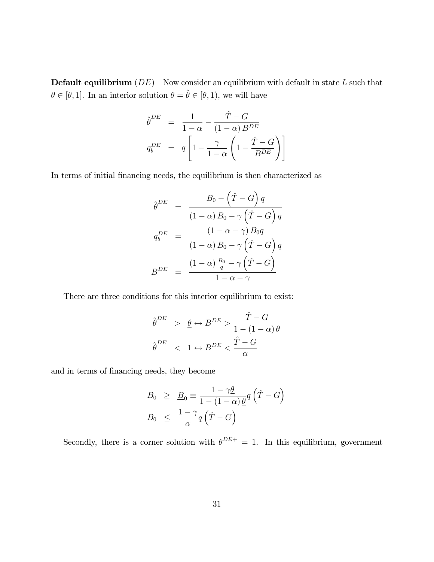**Default equilibrium**  $(DE)$  Now consider an equilibrium with default in state  $L$  such that  $\theta \in [\underline{\theta}, 1]$ . In an interior solution  $\theta = \hat{\theta} \in [\underline{\theta}, 1)$ , we will have

$$
\begin{aligned}\n\hat{\theta}^{DE} &= \frac{1}{1-\alpha} - \frac{\hat{T} - G}{(1-\alpha) B^{DE}} \\
q_b^{DE} &= q \left[ 1 - \frac{\gamma}{1-\alpha} \left( 1 - \frac{\hat{T} - G}{B^{DE}} \right) \right]\n\end{aligned}
$$

In terms of initial financing needs, the equilibrium is then characterized as

$$
\hat{\theta}^{DE} = \frac{B_0 - (\hat{T} - G) q}{(1 - \alpha) B_0 - \gamma (\hat{T} - G) q}
$$

$$
q_b^{DE} = \frac{(1 - \alpha - \gamma) B_0 q}{(1 - \alpha) B_0 - \gamma (\hat{T} - G) q}
$$

$$
B^{DE} = \frac{(1 - \alpha) \frac{B_0}{q} - \gamma (\hat{T} - G)}{1 - \alpha - \gamma}
$$

There are three conditions for this interior equilibrium to exist:

$$
\begin{aligned}\n\hat{\theta}^{DE} &> \underline{\theta} \leftrightarrow B^{DE} > \frac{\hat{T} - G}{1 - (1 - \alpha)\underline{\theta}} \\
\hat{\theta}^{DE} &< 1 \leftrightarrow B^{DE} < \frac{\hat{T} - G}{\alpha}\n\end{aligned}
$$

and in terms of financing needs, they become

$$
B_0 \geq \underline{B}_0 \equiv \frac{1 - \gamma \underline{\theta}}{1 - (1 - \alpha) \underline{\theta}} q \left( \hat{T} - G \right)
$$
  

$$
B_0 \leq \frac{1 - \gamma}{\alpha} q \left( \hat{T} - G \right)
$$

Secondly, there is a corner solution with  $\theta^{DE+} = 1$ . In this equilibrium, government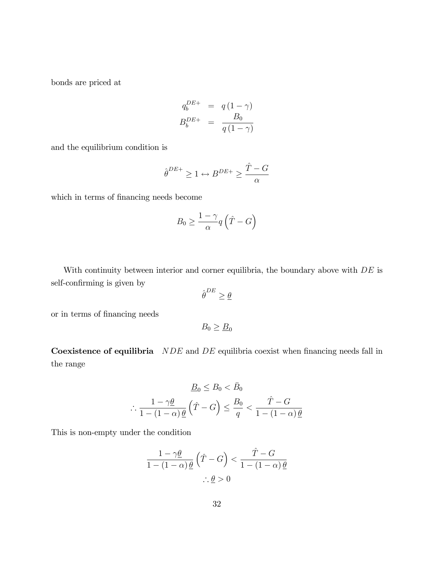bonds are priced at

$$
q_b^{DE+} = q(1-\gamma)
$$
  

$$
B_b^{DE+} = \frac{B_0}{q(1-\gamma)}
$$

and the equilibrium condition is

$$
\hat{\boldsymbol{\theta}}^{DE+} \geq 1 \leftrightarrow B^{DE+} \geq \frac{\hat{T} - G}{\alpha}
$$

which in terms of financing needs become

$$
B_0 \ge \frac{1-\gamma}{\alpha} q\left(\hat{T} - G\right)
$$

With continuity between interior and corner equilibria, the boundary above with  $DE$  is self-confirming is given by

$$
\hat{\theta}^{DE} \ge \underline{\theta}
$$

or in terms of financing needs

 $B_0 \geq \underline{B}_0$ 

Coexistence of equilibria  $NDE$  and  $DE$  equilibria coexist when financing needs fall in the range

$$
\underline{B}_0 \le B_0 < \bar{B}_0
$$
\n
$$
\therefore \frac{1 - \gamma \underline{\theta}}{1 - (1 - \alpha) \underline{\theta}} \left( \hat{T} - G \right) \le \frac{B_0}{q} < \frac{\hat{T} - G}{1 - (1 - \alpha) \underline{\theta}}
$$

This is non-empty under the condition

$$
\frac{1-\gamma\underline{\theta}}{1-(1-\alpha)\underline{\theta}}\left(\hat{T}-G\right) < \frac{\hat{T}-G}{1-(1-\alpha)\underline{\theta}}\\ \therefore \underline{\theta} > 0
$$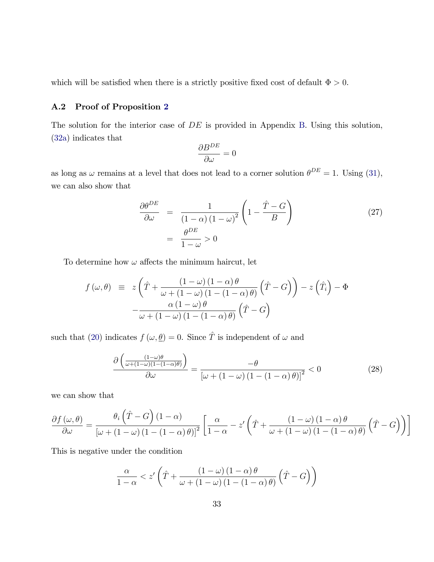which will be satisfied when there is a strictly positive fixed cost of default  $\Phi > 0$ .

#### <span id="page-32-0"></span>A.2 Proof of Proposition [2](#page-16-0)

The solution for the interior case of  $DE$  is provided in Appendix [B.](#page-39-0) Using this solution, [\(32a\)](#page-40-0) indicates that

$$
\frac{\partial B^{DE}}{\partial \omega} = 0
$$

as long as  $\omega$  remains at a level that does not lead to a corner solution  $\theta^{DE} = 1$ . Using [\(31\)](#page-40-1), we can also show that

$$
\frac{\partial \theta^{DE}}{\partial \omega} = \frac{1}{(1-\alpha)(1-\omega)^2} \left(1 - \frac{\hat{T} - G}{B}\right)
$$
\n
$$
= \frac{\theta^{DE}}{1-\omega} > 0
$$
\n(27)

To determine how  $\omega$  affects the minimum haircut, let

$$
f(\omega, \theta) \equiv z \left( \hat{T} + \frac{(1-\omega)(1-\alpha)\theta}{\omega + (1-\omega)(1-(1-\alpha)\theta)} \left( \hat{T} - G \right) \right) - z \left( \hat{T}_i \right) - \Phi
$$

$$
- \frac{\alpha (1-\omega)\theta}{\omega + (1-\omega)(1-(1-\alpha)\theta)} \left( \hat{T} - G \right)
$$

such that [\(20\)](#page-14-0) indicates  $f(\omega, \underline{\theta}) = 0$ . Since  $\hat{T}$  is independent of  $\omega$  and

<span id="page-32-1"></span>
$$
\frac{\partial \left( \frac{(1-\omega)\theta}{\omega + (1-\omega)(1-(1-\alpha)\theta)} \right)}{\partial \omega} = \frac{-\theta}{\left[ \omega + (1-\omega)(1-(1-\alpha)\theta) \right]^2} < 0 \tag{28}
$$

we can show that

$$
\frac{\partial f(\omega,\theta)}{\partial \omega} = \frac{\theta_i \left(\hat{T} - G\right) (1 - \alpha)}{\left[\omega + (1 - \omega) (1 - (1 - \alpha) \theta)\right]^2} \left[\frac{\alpha}{1 - \alpha} - z'\left(\hat{T} + \frac{(1 - \omega) (1 - \alpha) \theta}{\omega + (1 - \omega) (1 - (1 - \alpha) \theta)} \left(\hat{T} - G\right)\right)\right]
$$

This is negative under the condition

$$
\frac{\alpha}{1-\alpha} < z' \left( \hat{T} + \frac{\left(1-\omega\right)\left(1-\alpha\right)\theta}{\omega + \left(1-\omega\right)\left(1-\left(1-\alpha\right)\theta\right)} \left(\hat{T} - G\right) \right)
$$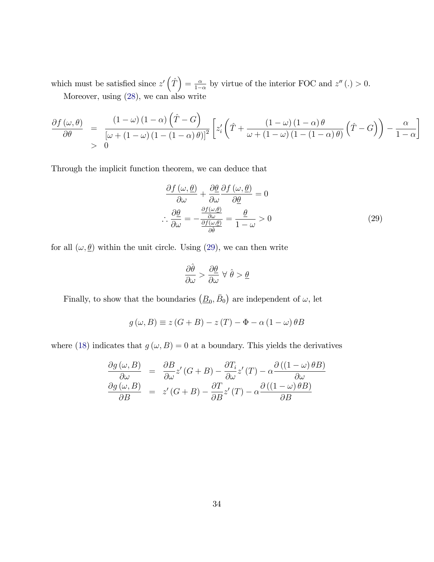which must be satisfied since  $z'\left(\hat{T}\right) = \frac{\alpha}{1-\alpha}$  $\frac{\alpha}{1-\alpha}$  by virtue of the interior FOC and  $z''(.) > 0$ . Moreover, using [\(28\)](#page-32-1), we can also write

$$
\frac{\partial f(\omega,\theta)}{\partial \theta} = \frac{(1-\omega)(1-\alpha)\left(\hat{T}-G\right)}{\left[\omega+(1-\omega)(1-(1-\alpha)\theta)\right]^2} \left[z_i'\left(\hat{T}+\frac{(1-\omega)(1-\alpha)\theta}{\omega+(1-\omega)(1-(1-\alpha)\theta)}\left(\hat{T}-G\right)\right)-\frac{\alpha}{1-\alpha}\right]
$$

Through the implicit function theorem, we can deduce that

$$
\frac{\partial f(\omega, \underline{\theta})}{\partial \omega} + \frac{\partial \underline{\theta}}{\partial \omega} \frac{\partial f(\omega, \underline{\theta})}{\partial \underline{\theta}} = 0
$$
  

$$
\therefore \frac{\partial \underline{\theta}}{\partial \omega} = -\frac{\frac{\partial f(\omega, \underline{\theta})}{\partial \omega}}{\frac{\partial f(\omega, \underline{\theta})}{\partial \hat{\theta}}} = \frac{\underline{\theta}}{1 - \omega} > 0
$$
(29)

for all  $(\omega, \underline{\theta})$  within the unit circle. Using [\(29\)](#page-33-0), we can then write

<span id="page-33-0"></span>
$$
\frac{\partial \hat{\theta}}{\partial \omega} > \frac{\partial \theta}{\partial \omega} \ \forall \ \hat{\theta} > \underline{\theta}
$$

Finally, to show that the boundaries  $(\underline{B}_0, \overline{B}_0)$  are independent of  $\omega$ , let

$$
g(\omega, B) \equiv z(G + B) - z(T) - \Phi - \alpha (1 - \omega) \theta B
$$

where [\(18\)](#page-14-2) indicates that  $g(\omega, B) = 0$  at a boundary. This yields the derivatives

$$
\frac{\partial g(\omega, B)}{\partial \omega} = \frac{\partial B}{\partial \omega} z'(G + B) - \frac{\partial T_i}{\partial \omega} z'(T) - \alpha \frac{\partial ((1 - \omega) \theta B)}{\partial \omega}
$$

$$
\frac{\partial g(\omega, B)}{\partial B} = z'(G + B) - \frac{\partial T}{\partial B} z'(T) - \alpha \frac{\partial ((1 - \omega) \theta B)}{\partial B}
$$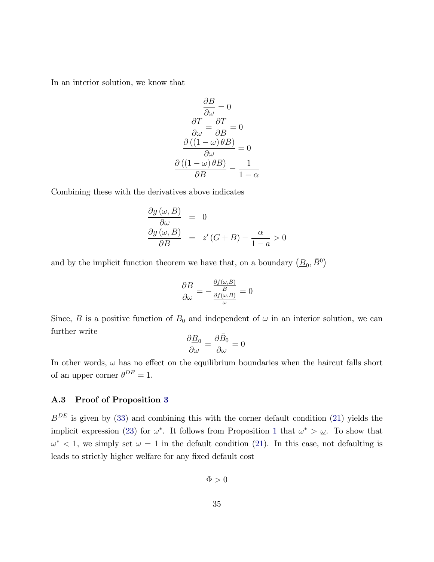In an interior solution, we know that

$$
\frac{\partial B}{\partial \omega} = 0
$$

$$
\frac{\partial T}{\partial \omega} = \frac{\partial T}{\partial B} = 0
$$

$$
\frac{\partial ((1 - \omega) \theta B)}{\partial \omega} = 0
$$

$$
\frac{\partial ((1 - \omega) \theta B)}{\partial B} = \frac{1}{1 - \alpha}
$$

Combining these with the derivatives above indicates

$$
\frac{\partial g(\omega, B)}{\partial \omega} = 0
$$
  

$$
\frac{\partial g(\omega, B)}{\partial B} = z'(G + B) - \frac{\alpha}{1 - a} > 0
$$

and by the implicit function theorem we have that, on a boundary  $(\underline{B}_0, \overline{B}^0)$ 

$$
\frac{\partial B}{\partial \omega} = -\frac{\frac{\partial f(\omega, B)}{B}}{\frac{\partial f(\omega, B)}{\omega}} = 0
$$

Since, B is a positive function of  $B_0$  and independent of  $\omega$  in an interior solution, we can further write

$$
\frac{\partial \underline{B}_0}{\partial \omega} = \frac{\partial \bar{B}_0}{\partial \omega} = 0
$$

In other words,  $\omega$  has no effect on the equilibrium boundaries when the haircut falls short of an upper corner  $\theta^{DE} = 1$ .

#### <span id="page-34-0"></span>A.3 Proof of Proposition [3](#page-18-1)

 $B^{DE}$  is given by [\(33\)](#page-41-0) and combining this with the corner default condition [\(21\)](#page-15-2) yields the implicit expression [\(23\)](#page-19-0) for  $\omega^*$ . It follows from Proposition [1](#page-11-0) that  $\omega^* > \underline{\omega}$ . To show that  $\omega^*$  < 1, we simply set  $\omega = 1$  in the default condition [\(21\)](#page-15-2). In this case, not defaulting is leads to strictly higher welfare for any fixed default cost

$$
\Phi > 0
$$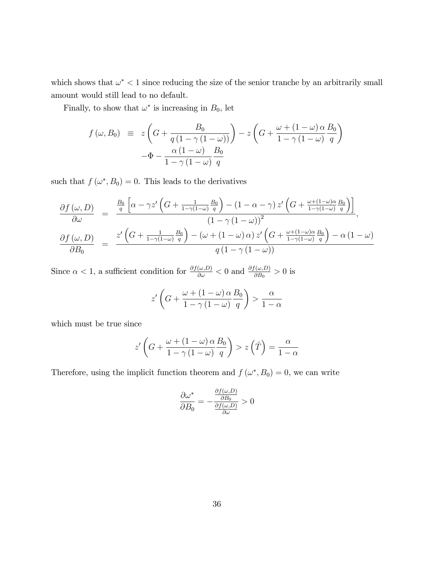which shows that  $\omega^* < 1$  since reducing the size of the senior tranche by an arbitrarily small amount would still lead to no default.

Finally, to show that  $\omega^*$  is increasing in  $B_0$ , let

$$
f(\omega, B_0) \equiv z \left( G + \frac{B_0}{q \left( 1 - \gamma \left( 1 - \omega \right) \right)} \right) - z \left( G + \frac{\omega + \left( 1 - \omega \right) \alpha}{1 - \gamma \left( 1 - \omega \right)} \frac{B_0}{q} \right)
$$

$$
- \Phi - \frac{\alpha \left( 1 - \omega \right)}{1 - \gamma \left( 1 - \omega \right)} \frac{B_0}{q}
$$

such that  $f(\omega^*, B_0) = 0$ . This leads to the derivatives

$$
\frac{\partial f(\omega, D)}{\partial \omega} = \frac{\frac{B_0}{q} \left[ \alpha - \gamma z' \left( G + \frac{1}{1 - \gamma (1 - \omega)} \frac{B_0}{q} \right) - (1 - \alpha - \gamma) z' \left( G + \frac{\omega + (1 - \omega)\alpha}{1 - \gamma (1 - \omega)} \frac{B_0}{q} \right) \right]}{(1 - \gamma (1 - \omega))^2},
$$
\n
$$
\frac{\partial f(\omega, D)}{\partial B_0} = \frac{z' \left( G + \frac{1}{1 - \gamma (1 - \omega)} \frac{B_0}{q} \right) - (\omega + (1 - \omega)\alpha) z' \left( G + \frac{\omega + (1 - \omega)\alpha}{1 - \gamma (1 - \omega)} \frac{B_0}{q} \right) - \alpha (1 - \omega)}{q (1 - \gamma (1 - \omega))}
$$

Since  $\alpha < 1$ , a sufficient condition for  $\frac{\partial f(\omega, D)}{\partial \omega} < 0$  and  $\frac{\partial f(\omega, D)}{\partial B_0} > 0$  is

$$
z'\left(G + \frac{\omega + (1 - \omega)\alpha}{1 - \gamma(1 - \omega)}\frac{B_0}{q}\right) > \frac{\alpha}{1 - \alpha}
$$

which must be true since

$$
z'\left(G + \frac{\omega + (1 - \omega)\alpha}{1 - \gamma(1 - \omega)}\frac{B_0}{q}\right) > z\left(\hat{T}\right) = \frac{\alpha}{1 - \alpha}
$$

Therefore, using the implicit function theorem and  $f(\omega^*, B_0) = 0$ , we can write

$$
\frac{\partial \omega^*}{\partial B_0} = -\frac{\frac{\partial f(\omega, D)}{\partial B_0}}{\frac{\partial f(\omega, D)}{\partial \omega}} > 0
$$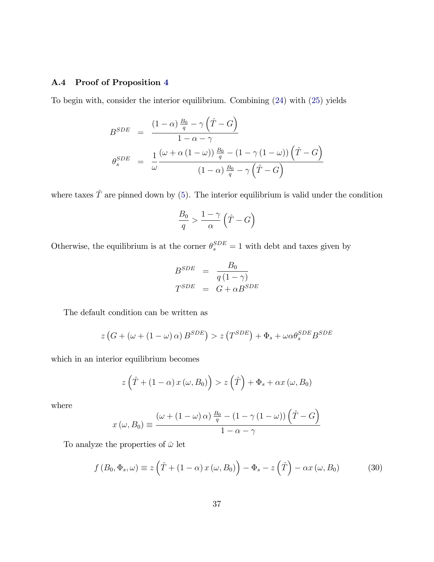#### <span id="page-36-0"></span>A.4 Proof of Proposition [4](#page-21-1)

To begin with, consider the interior equilibrium. Combining [\(24\)](#page-21-2) with [\(25\)](#page-21-3) yields

$$
B^{SDE} = \frac{(1-\alpha)\frac{B_0}{q} - \gamma(\hat{T} - G)}{1 - \alpha - \gamma}
$$

$$
\theta_s^{SDE} = \frac{1}{\omega} \frac{(\omega + \alpha(1-\omega))\frac{B_0}{q} - (1 - \gamma(1-\omega))(\hat{T} - G)}{(1-\alpha)\frac{B_0}{q} - \gamma(\hat{T} - G)}
$$

where taxes  $\hat{T}$  are pinned down by [\(5\)](#page-8-1). The interior equilibrium is valid under the condition

$$
\frac{B_0}{q} > \frac{1-\gamma}{\alpha} \left(\hat{T} - G\right)
$$

Otherwise, the equilibrium is at the corner  $\theta_s^{SDE} = 1$  with debt and taxes given by

$$
B^{SDE} = \frac{B_0}{q(1-\gamma)}
$$

$$
T^{SDE} = G + \alpha B^{SDE}
$$

The default condition can be written as

$$
z\left(G + \left(\omega + (1 - \omega)\,\alpha\right)B^{SDE}\right) > z\left(T^{SDE}\right) + \Phi_s + \omega\alpha\theta_s^{SDE}B^{SDE}
$$

which in an interior equilibrium becomes

$$
z\left(\hat{T} + (1 - \alpha) x\left(\omega, B_0\right)\right) > z\left(\hat{T}\right) + \Phi_s + \alpha x\left(\omega, B_0\right)
$$

where

$$
x(\omega, B_0) \equiv \frac{(\omega + (1 - \omega)\alpha)\frac{B_0}{q} - (1 - \gamma(1 - \omega))(\hat{T} - G)}{1 - \alpha - \gamma}
$$

To analyze the properties of  $\bar{\omega}$  let

<span id="page-36-1"></span>
$$
f(B_0, \Phi_s, \omega) \equiv z \left( \hat{T} + (1 - \alpha) x (\omega, B_0) \right) - \Phi_s - z \left( \hat{T} \right) - \alpha x (\omega, B_0)
$$
 (30)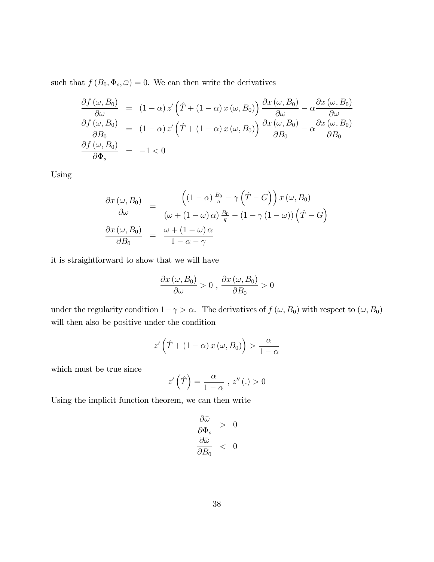such that  $f(B_0, \Phi_s, \bar{\omega}) = 0$ . We can then write the derivatives

$$
\frac{\partial f(\omega, B_0)}{\partial \omega} = (1 - \alpha) z' \left( \hat{T} + (1 - \alpha) x(\omega, B_0) \right) \frac{\partial x(\omega, B_0)}{\partial \omega} - \alpha \frac{\partial x(\omega, B_0)}{\partial \omega}
$$

$$
\frac{\partial f(\omega, B_0)}{\partial B_0} = (1 - \alpha) z' \left( \hat{T} + (1 - \alpha) x(\omega, B_0) \right) \frac{\partial x(\omega, B_0)}{\partial B_0} - \alpha \frac{\partial x(\omega, B_0)}{\partial B_0}
$$

$$
\frac{\partial f(\omega, B_0)}{\partial \Phi_s} = -1 < 0
$$

Using

$$
\frac{\partial x(\omega, B_0)}{\partial \omega} = \frac{\left((1-\alpha)\frac{B_0}{q} - \gamma\left(\hat{T} - G\right)\right)x(\omega, B_0)}{(\omega + (1-\omega)\alpha)\frac{B_0}{q} - (1-\gamma(1-\omega))\left(\hat{T} - G\right)}
$$

$$
\frac{\partial x(\omega, B_0)}{\partial B_0} = \frac{\omega + (1-\omega)\alpha}{1-\alpha-\gamma}
$$

it is straightforward to show that we will have

$$
\frac{\partial x(\omega, B_0)}{\partial \omega} > 0 , \frac{\partial x(\omega, B_0)}{\partial B_0} > 0
$$

under the regularity condition  $1 - \gamma > \alpha$ . The derivatives of  $f(\omega, B_0)$  with respect to  $(\omega, B_0)$ will then also be positive under the condition

$$
z'\left(\hat{T} + (1 - \alpha) x\left(\omega, B_0\right)\right) > \frac{\alpha}{1 - \alpha}
$$

which must be true since

$$
z'\left(\hat{T}\right) = \frac{\alpha}{1-\alpha} \ , \ z''\left(. \right) > 0
$$

Using the implicit function theorem, we can then write

$$
\begin{array}{rcl}\n\frac{\partial \bar{\omega}}{\partial \Phi_s} > & 0 \\
\frac{\partial \bar{\omega}}{\partial B_0} < & 0\n\end{array}
$$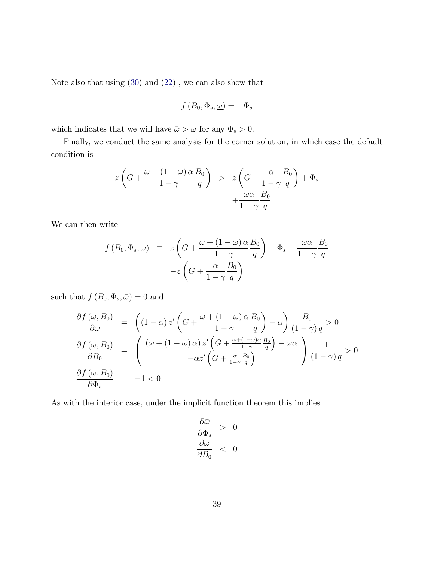Note also that using [\(30\)](#page-36-1) and [\(22\)](#page-16-1) , we can also show that

$$
f(B_0, \Phi_s, \underline{\omega}) = -\Phi_s
$$

which indicates that we will have  $\bar{\omega} > \underline{\omega}$  for any  $\Phi_s > 0$ .

Finally, we conduct the same analysis for the corner solution, in which case the default condition is

$$
z\left(G + \frac{\omega + (1 - \omega)\alpha}{1 - \gamma} \frac{B_0}{q}\right) > z\left(G + \frac{\alpha}{1 - \gamma} \frac{B_0}{q}\right) + \Phi_s
$$

$$
+ \frac{\omega\alpha}{1 - \gamma} \frac{B_0}{q}
$$

We can then write

$$
f(B_0, \Phi_s, \omega) \equiv z \left( G + \frac{\omega + (1 - \omega) \alpha B_0}{1 - \gamma} \right) - \Phi_s - \frac{\omega \alpha B_0}{1 - \gamma q}
$$

$$
-z \left( G + \frac{\alpha B_0}{1 - \gamma q} \right)
$$

such that  $f(B_0, \Phi_s, \bar{\omega}) = 0$  and

$$
\frac{\partial f(\omega, B_0)}{\partial \omega} = \left( (1 - \alpha) z' \left( G + \frac{\omega + (1 - \omega) \alpha}{1 - \gamma} \frac{B_0}{q} \right) - \alpha \right) \frac{B_0}{(1 - \gamma) q} > 0
$$

$$
\frac{\partial f(\omega, B_0)}{\partial B_0} = \left( \frac{(\omega + (1 - \omega) \alpha) z' \left( G + \frac{\omega + (1 - \omega) \alpha}{1 - \gamma} \frac{B_0}{q} \right) - \omega \alpha}{- \alpha z' \left( G + \frac{\alpha}{1 - \gamma} \frac{B_0}{q} \right)} \right) \frac{1}{(1 - \gamma) q} > 0
$$

$$
\frac{\partial f(\omega, B_0)}{\partial \Phi_s} = -1 < 0
$$

As with the interior case, under the implicit function theorem this implies

$$
\begin{array}{rcl}\n\frac{\partial \bar{\omega}}{\partial \Phi_s} > & 0 \\
\frac{\partial \bar{\omega}}{\partial B_0} < & 0\n\end{array}
$$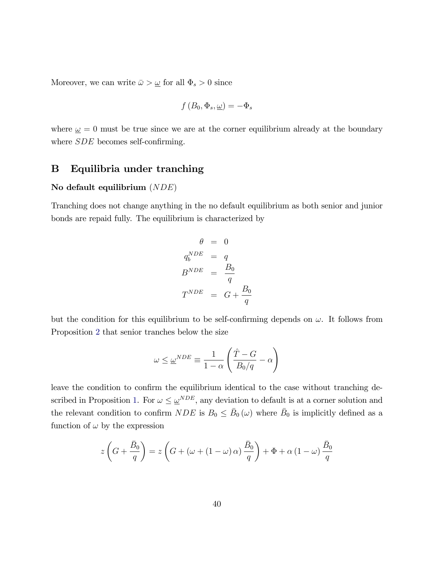Moreover, we can write  $\bar{\omega} > \underline{\omega}$  for all  $\Phi_s > 0$  since

$$
f(B_0, \Phi_s, \underline{\omega}) = -\Phi_s
$$

where  $\omega = 0$  must be true since we are at the corner equilibrium already at the boundary where  $SDE$  becomes self-confirming.

### <span id="page-39-0"></span>B Equilibria under tranching

#### No default equilibrium (NDE)

Tranching does not change anything in the no default equilibrium as both senior and junior bonds are repaid fully. The equilibrium is characterized by

$$
\theta = 0
$$
  
\n
$$
q_b^{NDE} = q
$$
  
\n
$$
B^{NDE} = \frac{B_0}{q}
$$
  
\n
$$
T^{NDE} = G + \frac{B_0}{q}
$$

but the condition for this equilibrium to be self-confirming depends on  $\omega$ . It follows from Proposition [2](#page-16-0) that senior tranches below the size

$$
\omega \leq \underline{\omega}^{NDE} \equiv \frac{1}{1-\alpha} \left( \frac{\hat{T}-G}{B_0/q} - \alpha \right)
$$

leave the condition to confirm the equilibrium identical to the case without tranching de-scribed in Proposition [1.](#page-11-0) For  $\omega \leq \underline{\omega}^{NDE}$ , any deviation to default is at a corner solution and the relevant condition to confirm  $NDE$  is  $B_0 \le \bar{B}_0(\omega)$  where  $\bar{B}_0$  is implicitly defined as a function of  $\omega$  by the expression

$$
z\left(G + \frac{\bar{B}_0}{q}\right) = z\left(G + (\omega + (1 - \omega)\alpha)\frac{\bar{B}_0}{q}\right) + \Phi + \alpha(1 - \omega)\frac{\bar{B}_0}{q}
$$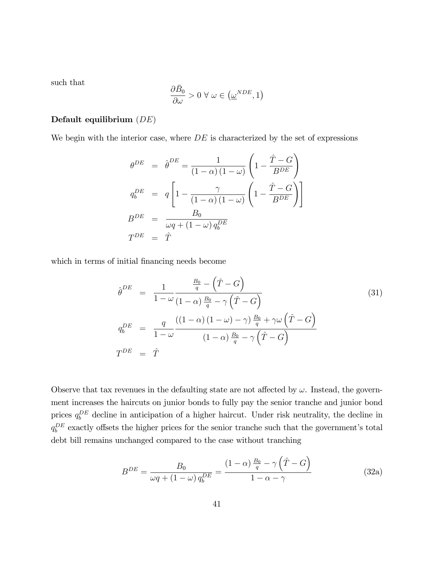such that

$$
\frac{\partial \bar{B}_0}{\partial \omega} > 0 \; \forall \; \omega \in \left(\underline{\omega}^{NDE}, 1\right)
$$

#### Default equilibrium  $(DE)$

We begin with the interior case, where  $DE$  is characterized by the set of expressions

$$
\theta^{DE} = \hat{\theta}^{DE} = \frac{1}{(1-\alpha)(1-\omega)} \left( 1 - \frac{\hat{T} - G}{B^{DE}} \right)
$$
  
\n
$$
q_b^{DE} = q \left[ 1 - \frac{\gamma}{(1-\alpha)(1-\omega)} \left( 1 - \frac{\hat{T} - G}{B^{DE}} \right) \right]
$$
  
\n
$$
B^{DE} = \frac{B_0}{\omega q + (1-\omega) q_b^{DE}}
$$
  
\n
$$
T^{DE} = \hat{T}
$$

which in terms of initial financing needs become

<span id="page-40-1"></span>
$$
\hat{\theta}^{DE} = \frac{1}{1 - \omega} \frac{\frac{B_0}{q} - (\hat{T} - G)}{(1 - \alpha)\frac{B_0}{q} - \gamma(\hat{T} - G)}
$$
\n
$$
q_b^{DE} = \frac{q}{1 - \omega} \frac{((1 - \alpha)(1 - \omega) - \gamma)\frac{B_0}{q} + \gamma\omega(\hat{T} - G)}{(1 - \alpha)\frac{B_0}{q} - \gamma(\hat{T} - G)}
$$
\n
$$
T^{DE} = \hat{T}
$$
\n(31)

Observe that tax revenues in the defaulting state are not affected by  $\omega$ . Instead, the government increases the haircuts on junior bonds to fully pay the senior tranche and junior bond prices  $q_b^{DE}$  decline in anticipation of a higher haircut. Under risk neutrality, the decline in  $q_b^{DE}$  exactly offsets the higher prices for the senior tranche such that the government's total debt bill remains unchanged compared to the case without tranching

<span id="page-40-0"></span>
$$
B^{DE} = \frac{B_0}{\omega q + (1 - \omega) q_b^{DE}} = \frac{(1 - \alpha) \frac{B_0}{q} - \gamma \left(\hat{T} - G\right)}{1 - \alpha - \gamma}
$$
(32a)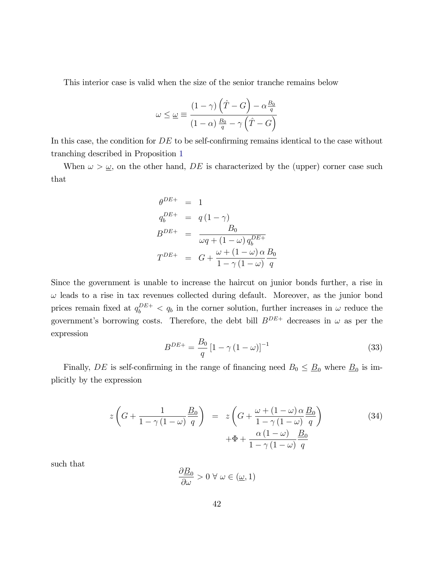This interior case is valid when the size of the senior tranche remains below

$$
\omega \leq \underline{\omega} \equiv \frac{(1-\gamma)\left(\hat{T} - G\right) - \alpha \frac{B_0}{q}}{(1-\alpha)\frac{B_0}{q} - \gamma\left(\hat{T} - G\right)}
$$

In this case, the condition for  $DE$  to be self-confirming remains identical to the case without tranching described in Proposition [1](#page-11-0)

When  $\omega > \underline{\omega}$ , on the other hand, DE is characterized by the (upper) corner case such that

$$
\theta^{DE+} = 1
$$
  
\n
$$
q_b^{DE+} = q(1-\gamma)
$$
  
\n
$$
B^{DE+} = \frac{B_0}{\omega q + (1-\omega) q_b^{DE+}}
$$
  
\n
$$
T^{DE+} = G + \frac{\omega + (1-\omega) \alpha B_0}{1-\gamma(1-\omega)} \frac{B_0}{q}
$$

Since the government is unable to increase the haircut on junior bonds further, a rise in  $\omega$  leads to a rise in tax revenues collected during default. Moreover, as the junior bond prices remain fixed at  $q_b^{DE+} < q_b$  in the corner solution, further increases in  $\omega$  reduce the government's borrowing costs. Therefore, the debt bill  $B^{DE+}$  decreases in  $\omega$  as per the expression

<span id="page-41-0"></span>
$$
B^{DE+} = \frac{B_0}{q} \left[ 1 - \gamma \left( 1 - \omega \right) \right]^{-1} \tag{33}
$$

Finally, DE is self-confirming in the range of financing need  $B_0 \leq \underline{B}_0$  where  $\underline{B}_0$  is implicitly by the expression

<span id="page-41-1"></span>
$$
z\left(G + \frac{1}{1 - \gamma(1 - \omega)}\frac{B_0}{q}\right) = z\left(G + \frac{\omega + (1 - \omega)\alpha}{1 - \gamma(1 - \omega)}\frac{B_0}{q}\right) + \Phi + \frac{\alpha(1 - \omega)}{1 - \gamma(1 - \omega)}\frac{B_0}{q}
$$
\n(34)

such that

$$
\frac{\partial \underline{B}_0}{\partial \omega} > 0 \,\forall \,\omega \in (\underline{\omega}, 1)
$$